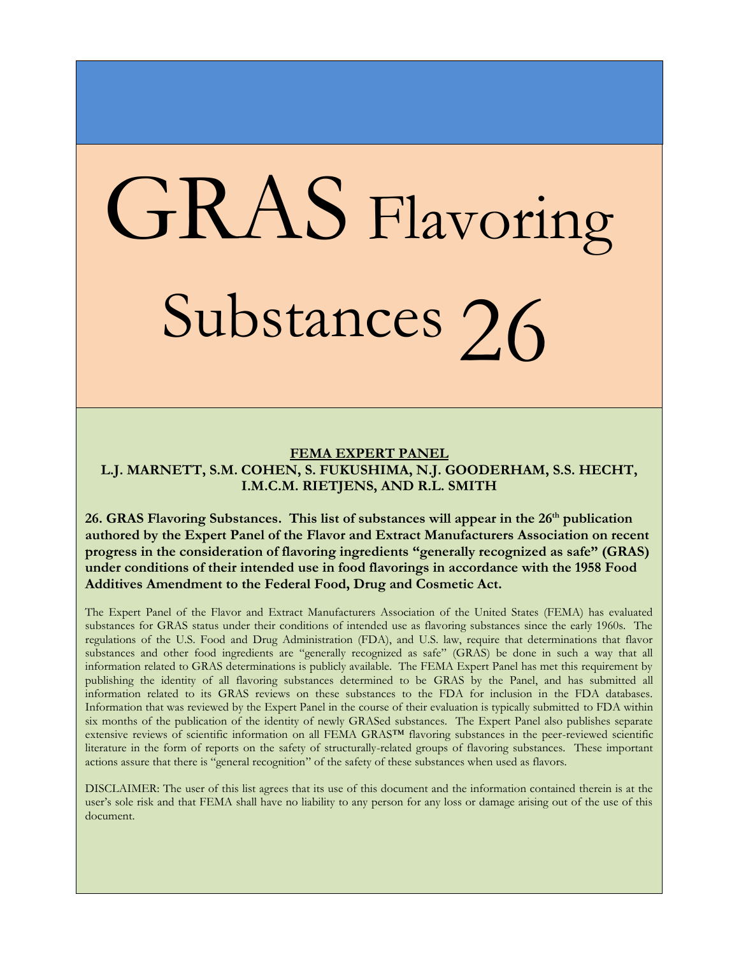## GRAS Flavoring Substances 26

## **FEMA EXPERT PANEL L.J. MARNETT, S.M. COHEN, S. FUKUSHIMA, N.J. GOODERHAM, S.S. HECHT, I.M.C.M. RIETJENS, AND R.L. SMITH**

26. GRAS Flavoring Substances. This list of substances will appear in the 26<sup>th</sup> publication **authored by the Expert Panel of the Flavor and Extract Manufacturers Association on recent progress in the consideration of flavoring ingredients "generally recognized as safe" (GRAS) under conditions of their intended use in food flavorings in accordance with the 1958 Food Additives Amendment to the Federal Food, Drug and Cosmetic Act.**

The Expert Panel of the Flavor and Extract Manufacturers Association of the United States (FEMA) has evaluated substances for GRAS status under their conditions of intended use as flavoring substances since the early 1960s. The regulations of the U.S. Food and Drug Administration (FDA), and U.S. law, require that determinations that flavor substances and other food ingredients are "generally recognized as safe" (GRAS) be done in such a way that all information related to GRAS determinations is publicly available. The FEMA Expert Panel has met this requirement by publishing the identity of all flavoring substances determined to be GRAS by the Panel, and has submitted all information related to its GRAS reviews on these substances to the FDA for inclusion in the FDA databases. Information that was reviewed by the Expert Panel in the course of their evaluation is typically submitted to FDA within six months of the publication of the identity of newly GRASed substances. The Expert Panel also publishes separate extensive reviews of scientific information on all FEMA GRAS™ flavoring substances in the peer-reviewed scientific literature in the form of reports on the safety of structurally-related groups of flavoring substances. These important actions assure that there is "general recognition" of the safety of these substances when used as flavors.

DISCLAIMER: The user of this list agrees that its use of this document and the information contained therein is at the user's sole risk and that FEMA shall have no liability to any person for any loss or damage arising out of the use of this document.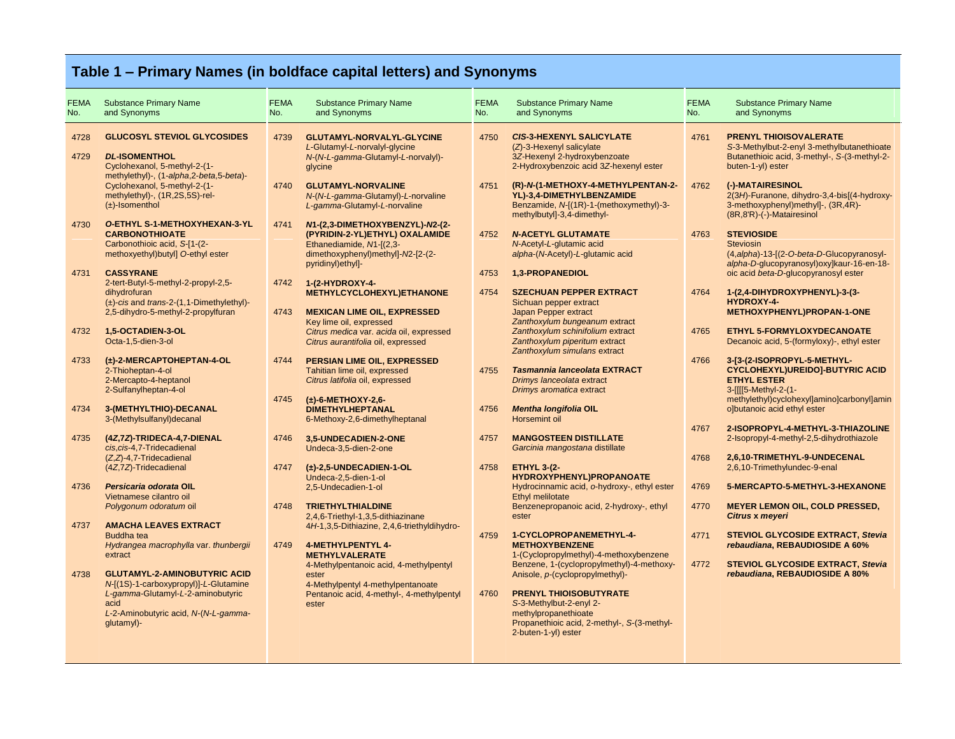## **Table 1 – Primary Names (in boldface capital letters) and Synonyms**

| <b>FEMA</b><br>No. | <b>Substance Primary Name</b><br>and Synonyms                                                                                                                                                                                    | <b>FEMA</b><br>No. | <b>Substance Primary Name</b><br>and Synonyms                                                                                                                                                                  | <b>FEMA</b><br>No. | <b>Substance Primary Name</b><br>and Synonyms                                                                                                                                                                                                          | <b>FEMA</b><br>No. | <b>Substance Primary Name</b><br>and Synonyms                                                                                                                                                                                                             |
|--------------------|----------------------------------------------------------------------------------------------------------------------------------------------------------------------------------------------------------------------------------|--------------------|----------------------------------------------------------------------------------------------------------------------------------------------------------------------------------------------------------------|--------------------|--------------------------------------------------------------------------------------------------------------------------------------------------------------------------------------------------------------------------------------------------------|--------------------|-----------------------------------------------------------------------------------------------------------------------------------------------------------------------------------------------------------------------------------------------------------|
| 4728<br>4729       | <b>GLUCOSYL STEVIOL GLYCOSIDES</b><br><b>DL-ISOMENTHOL</b><br>Cyclohexanol, 5-methyl-2-(1-<br>methylethyl)-, (1-alpha, 2-beta, 5-beta)-<br>Cyclohexanol, 5-methyl-2-(1-<br>methylethyl)-, (1R,2S,5S)-rel-<br>$(\pm)$ -Isomenthol | 4739<br>4740       | GLUTAMYL-NORVALYL-GLYCINE<br>L-Glutamyl-L-norvalyl-glycine<br>N-(N-L-gamma-Glutamyl-L-norvalyl)-<br>glycine<br><b>GLUTAMYL-NORVALINE</b><br>N-(N-L-gamma-Glutamyl)-L-norvaline<br>L-gamma-Glutamyl-L-norvaline | 4750<br>4751       | <b>CIS-3-HEXENYL SALICYLATE</b><br>$(Z)$ -3-Hexenyl salicylate<br>3Z-Hexenyl 2-hydroxybenzoate<br>2-Hydroxybenzoic acid 3Z-hexenyl ester<br>(R)-N-(1-METHOXY-4-METHYLPENTAN-2-<br>YL)-3,4-DIMETHYLBENZAMIDE<br>Benzamide, N-[(1R)-1-(methoxymethyl)-3- | 4761<br>4762       | <b>PRENYL THIOISOVALERATE</b><br>S-3-Methylbut-2-enyl 3-methylbutanethioate<br>Butanethioic acid, 3-methyl-, S-(3-methyl-2-<br>buten-1-yl) ester<br>(-)-MATAIRESINOL<br>2(3H)-Furanone, dihydro-3,4-bis[(4-hydroxy-<br>3-methoxyphenyl)methyl]-, (3R,4R)- |
| 4730<br>4731       | <b>O-ETHYL S-1-METHOXYHEXAN-3-YL</b><br><b>CARBONOTHIOATE</b><br>Carbonothioic acid, S-[1-(2-<br>methoxyethyl)butyl] O-ethyl ester<br><b>CASSYRANE</b>                                                                           | 4741               | M-(2,3-DIMETHOXYBENZYL)-N2-(2-<br>(PYRIDIN-2-YL)ETHYL) OXALAMIDE<br>Ethanediamide, N1-[(2,3-<br>dimethoxyphenyl)methyl]-N2-[2-(2-<br>pyridinyl) ethyl]-                                                        | 4752<br>4753       | methylbutyl]-3,4-dimethyl-<br><b>N-ACETYL GLUTAMATE</b><br>N-Acetyl-L-glutamic acid<br>alpha-(N-Acetyl)-L-glutamic acid<br>1,3-PROPANEDIOL                                                                                                             | 4763               | (8R, 8'R)-(-)-Matairesinol<br><b>STEVIOSIDE</b><br><b>Steviosin</b><br>(4, alpha)-13-[(2-O-beta-D-Glucopyranosyl-<br>alpha-D-glucopyranosyl) oxylkaur-16-en-18-<br>oic acid beta-D-glucopyranosyl ester                                                   |
|                    | 2-tert-Butyl-5-methyl-2-propyl-2,5-<br>dihydrofuran<br>$(\pm)$ -cis and trans-2-(1,1-Dimethylethyl)-<br>2,5-dihydro-5-methyl-2-propylfuran                                                                                       | 4742<br>4743       | 1-(2-HYDROXY-4-<br>METHYLCYCLOHEXYL)ETHANONE<br><b>MEXICAN LIME OIL, EXPRESSED</b><br>Key lime oil, expressed                                                                                                  | 4754               | <b>SZECHUAN PEPPER EXTRACT</b><br>Sichuan pepper extract<br>Japan Pepper extract<br>Zanthoxylum bungeanum extract                                                                                                                                      | 4764               | 1-(2,4-DIHYDROXYPHENYL)-3-(3-<br><b>HYDROXY-4-</b><br>METHOXYPHENYL)PROPAN-1-ONE                                                                                                                                                                          |
| 4732               | 1,5-OCTADIEN-3-OL<br>Octa-1,5-dien-3-ol                                                                                                                                                                                          |                    | Citrus medica var. acida oil, expressed<br>Citrus aurantifolia oil, expressed                                                                                                                                  |                    | Zanthoxylum schinifolium extract<br>Zanthoxylum piperitum extract<br>Zanthoxylum simulans extract                                                                                                                                                      | 4765               | ETHYL 5-FORMYLOXYDECANOATE<br>Decanoic acid, 5-(formyloxy)-, ethyl ester                                                                                                                                                                                  |
| 4733               | (±)-2-MERCAPTOHEPTAN-4-OL<br>2-Thioheptan-4-ol<br>2-Mercapto-4-heptanol<br>2-Sulfanylheptan-4-ol                                                                                                                                 | 4744<br>4745       | PERSIAN LIME OIL, EXPRESSED<br>Tahitian lime oil, expressed<br>Citrus latifolia oil, expressed<br>$(\pm)$ -6-METHOXY-2,6-                                                                                      | 4755               | <b>Tasmannia lanceolata EXTRACT</b><br>Drimys lanceolata extract<br>Drimys aromatica extract                                                                                                                                                           | 4766               | 3-[3-(2-ISOPROPYL-5-METHYL-<br><b>CYCLOHEXYL)UREIDO]-BUTYRIC ACID</b><br><b>ETHYL ESTER</b><br>3-[[[5-Methyl-2-(1-<br>methylethyl)cyclohexyl]amino]carbonyl]amin                                                                                          |
| 4734               | 3-(METHYLTHIO)-DECANAL<br>3-(Methylsulfanyl)decanal                                                                                                                                                                              |                    | <b>DIMETHYLHEPTANAL</b><br>6-Methoxy-2,6-dimethylheptanal                                                                                                                                                      | 4756               | <b>Mentha longifolia OIL</b><br>Horsemint oil                                                                                                                                                                                                          | 4767               | olbutanoic acid ethyl ester<br>2-ISOPROPYL-4-METHYL-3-THIAZOLINE                                                                                                                                                                                          |
| 4735               | (4Z7Z)-TRIDECA-4,7-DIENAL<br>cis.cis-4,7-Tridecadienal<br>$(Z, Z)$ -4,7-Tridecadienal<br>(4Z,7Z)-Tridecadienal                                                                                                                   | 4746<br>4747       | 3,5-UNDECADIEN-2-ONE<br>Undeca-3,5-dien-2-one<br>$(\pm)$ -2,5-UNDECADIEN-1-OL                                                                                                                                  | 4757<br>4758       | <b>MANGOSTEEN DISTILLATE</b><br>Garcinia mangostana distillate<br><b>ETHYL 3-(2-</b>                                                                                                                                                                   | 4768               | 2-Isopropyl-4-methyl-2,5-dihydrothiazole<br>2,6,10-TRIMETHYL-9-UNDECENAL<br>2,6,10-Trimethylundec-9-enal                                                                                                                                                  |
| 4736               | Persicaria odorata OIL<br>Vietnamese cilantro oil<br>Polygonum odoratum oil                                                                                                                                                      | 4748               | Undeca-2,5-dien-1-ol<br>2.5-Undecadien-1-ol<br><b>TRIETHYLTHIALDINE</b>                                                                                                                                        |                    | HYDROXYPHENYL)PROPANOATE<br>Hydrocinnamic acid, o-hydroxy-, ethyl ester<br>Ethyl melilotate<br>Benzenepropanoic acid, 2-hydroxy-, ethyl                                                                                                                | 4769<br>4770       | 5-MERCAPTO-5-METHYL-3-HEXANONE<br><b>MEYER LEMON OIL, COLD PRESSED,</b>                                                                                                                                                                                   |
| 4737               | <b>AMACHA LEAVES EXTRACT</b>                                                                                                                                                                                                     |                    | 2,4,6-Triethyl-1,3,5-dithiazinane<br>4H-1,3,5-Dithiazine, 2,4,6-triethyldihydro-                                                                                                                               |                    | ester                                                                                                                                                                                                                                                  |                    | <b>Citrus x meyeri</b>                                                                                                                                                                                                                                    |
| 4738               | Buddha tea<br>Hydrangea macrophylla var. thunbergii<br>extract<br><b>GLUTAMYL-2-AMINOBUTYRIC ACID</b>                                                                                                                            | 4749               | <b>4-METHYLPENTYL 4-</b><br><b>METHYLVALERATE</b><br>4-Methylpentanoic acid, 4-methylpentyl<br>ester                                                                                                           | 4759               | 1-CYCLOPROPANEMETHYL-4-<br><b>METHOXYBENZENE</b><br>1-(Cyclopropylmethyl)-4-methoxybenzene<br>Benzene, 1-(cyclopropylmethyl)-4-methoxy-<br>Anisole, p-(cyclopropylmethyl)-                                                                             | 4771<br>4772       | <b>STEVIOL GLYCOSIDE EXTRACT, Stevia</b><br>rebaudiana, REBAUDIOSIDE A 60%<br><b>STEVIOL GLYCOSIDE EXTRACT, Stevia</b><br>rebaudiana, REBAUDIOSIDE A 80%                                                                                                  |
|                    | N-[(1S)-1-carboxypropyl)]-L-Glutamine<br>L-gamma-Glutamyl-L-2-aminobutyric<br>acid<br>L-2-Aminobutyric acid, N-(N-L-gamma-<br>glutamyl)-                                                                                         |                    | 4-Methylpentyl 4-methylpentanoate<br>Pentanoic acid, 4-methyl-, 4-methylpentyl<br>ester                                                                                                                        | 4760               | <b>PRENYL THIOISOBUTYRATE</b><br>S-3-Methylbut-2-enyl 2-<br>methylpropanethioate<br>Propanethioic acid, 2-methyl-, S-(3-methyl-<br>2-buten-1-yl) ester                                                                                                 |                    |                                                                                                                                                                                                                                                           |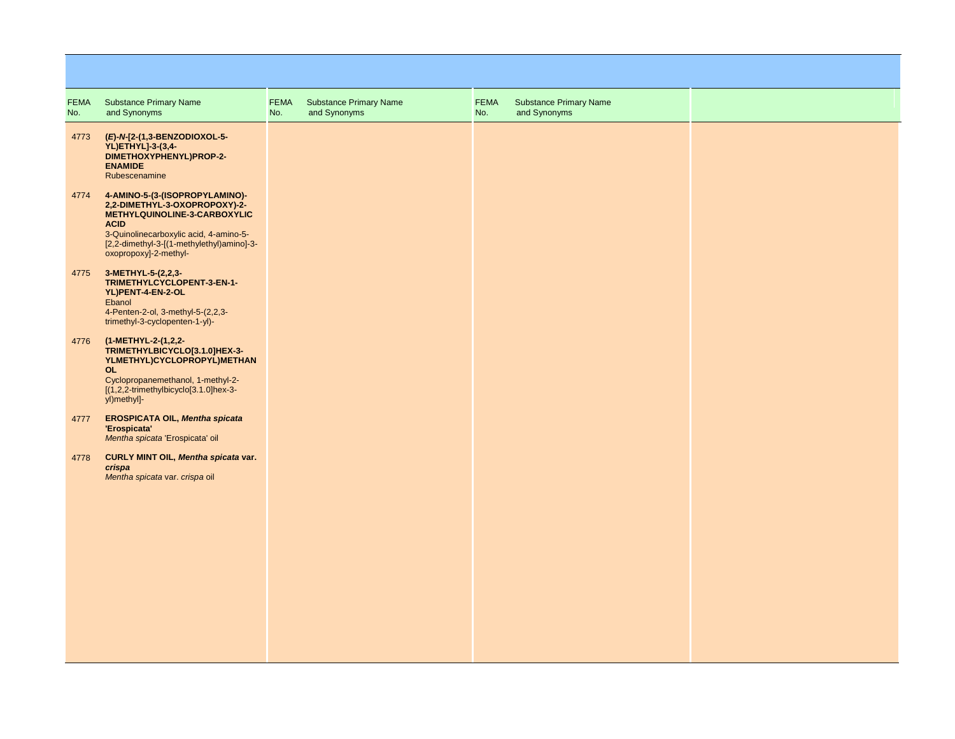| <b>FEMA</b><br>No. | <b>Substance Primary Name</b><br>and Synonyms                                                                                                                                                                                  | <b>FEMA</b><br>No. | <b>Substance Primary Name</b><br>and Synonyms | FEMA<br>No. | <b>Substance Primary Name</b><br>and Synonyms |  |
|--------------------|--------------------------------------------------------------------------------------------------------------------------------------------------------------------------------------------------------------------------------|--------------------|-----------------------------------------------|-------------|-----------------------------------------------|--|
| 4773               | (E)-N-[2-(1,3-BENZODIOXOL-5-<br>YL)ETHYL]-3-(3,4-<br>DIMETHOXYPHENYL)PROP-2-<br><b>ENAMIDE</b><br>Rubescenamine                                                                                                                |                    |                                               |             |                                               |  |
| 4774               | 4-AMINO-5-(3-(ISOPROPYLAMINO)-<br>2,2-DIMETHYL-3-OXOPROPOXY)-2-<br>METHYLQUINOLINE-3-CARBOXYLIC<br><b>ACID</b><br>3-Quinolinecarboxylic acid, 4-amino-5-<br>[2,2-dimethyl-3-[(1-methylethyl)amino]-3-<br>oxopropoxy]-2-methyl- |                    |                                               |             |                                               |  |
| 4775               | 3-METHYL-5-(2,2,3-<br>TRIMETHYLCYCLOPENT-3-EN-1-<br>YL)PENT-4-EN-2-OL<br>Ebanol<br>4-Penten-2-ol, 3-methyl-5-(2,2,3-<br>trimethyl-3-cyclopenten-1-yl)-                                                                         |                    |                                               |             |                                               |  |
| 4776               | (1-METHYL-2-(1,2,2-<br>TRIMETHYLBICYCLO[3.1.0]HEX-3-<br>YLMETHYL)CYCLOPROPYL)METHAN<br><b>OL</b><br>Cyclopropanemethanol, 1-methyl-2-<br>$[(1,2,2-trimethylbicyclo[3.1.0]hex-3-$<br>yl)methyl]-                                |                    |                                               |             |                                               |  |
| 4777               | <b>EROSPICATA OIL, Mentha spicata</b><br>'Erospicata'<br>Mentha spicata 'Erospicata' oil                                                                                                                                       |                    |                                               |             |                                               |  |
| 4778               | CURLY MINT OIL, Mentha spicata var.<br>crispa<br>Mentha spicata var. crispa oil                                                                                                                                                |                    |                                               |             |                                               |  |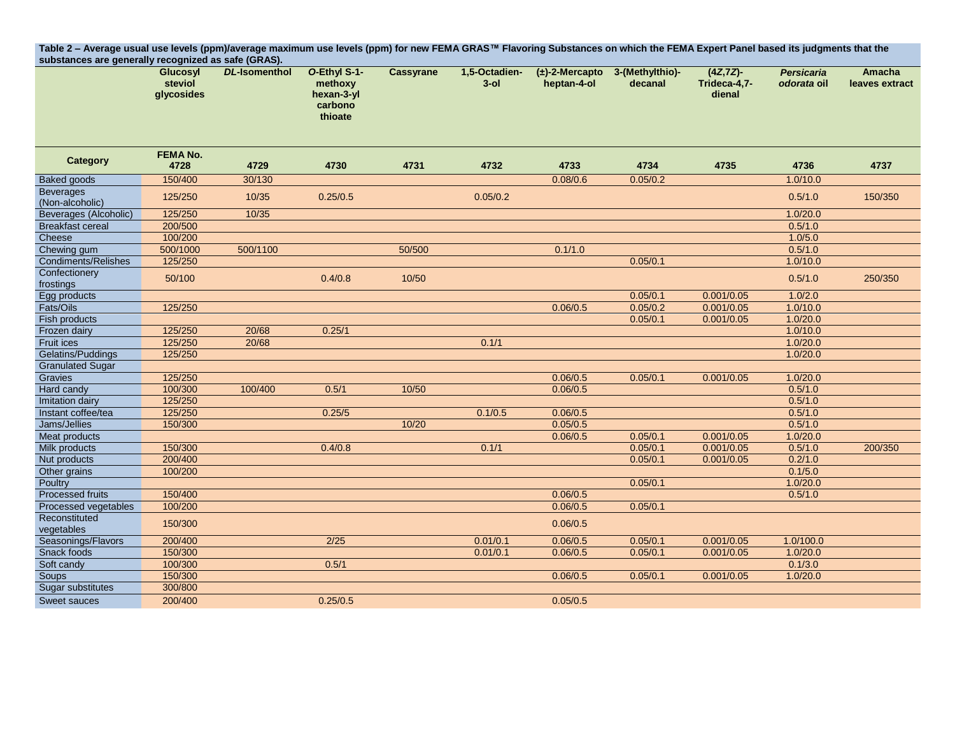| Table 2 - Average usual use levels (ppm)/average maximum use levels (ppm) for new FEMA GRAS™ Flavoring Substances on which the FEMA Expert Panel based its judgments that the<br>substances are generally recognized as safe (GRAS). |                                          |                      |                                                             |                  |                          |                                    |                            |                                        |                                  |                          |  |
|--------------------------------------------------------------------------------------------------------------------------------------------------------------------------------------------------------------------------------------|------------------------------------------|----------------------|-------------------------------------------------------------|------------------|--------------------------|------------------------------------|----------------------------|----------------------------------------|----------------------------------|--------------------------|--|
|                                                                                                                                                                                                                                      | <b>Glucosyl</b><br>steviol<br>glycosides | <b>DL-Isomenthol</b> | O-Ethyl S-1-<br>methoxy<br>hexan-3-yl<br>carbono<br>thioate | <b>Cassyrane</b> | 1,5-Octadien-<br>$3$ -ol | $(\pm)$ -2-Mercapto<br>heptan-4-ol | 3-(Methylthio)-<br>decanal | $(4Z, 7Z)$ -<br>Trideca-4,7-<br>dienal | <b>Persicaria</b><br>odorata oil | Amacha<br>leaves extract |  |
| Category                                                                                                                                                                                                                             | <b>FEMA No.</b><br>4728                  | 4729                 | 4730                                                        | 4731             | 4732                     | 4733                               | 4734                       | 4735                                   | 4736                             | 4737                     |  |
| <b>Baked goods</b>                                                                                                                                                                                                                   | 150/400                                  | 30/130               |                                                             |                  |                          | 0.08/0.6                           | 0.05/0.2                   |                                        | 1.0/10.0                         |                          |  |
| <b>Beverages</b><br>(Non-alcoholic)                                                                                                                                                                                                  | 125/250                                  | 10/35                | 0.25/0.5                                                    |                  | 0.05/0.2                 |                                    |                            |                                        | 0.5/1.0                          | 150/350                  |  |
| <b>Beverages (Alcoholic)</b>                                                                                                                                                                                                         | 125/250                                  | 10/35                |                                                             |                  |                          |                                    |                            |                                        | 1.0/20.0                         |                          |  |
| <b>Breakfast cereal</b>                                                                                                                                                                                                              | 200/500                                  |                      |                                                             |                  |                          |                                    |                            |                                        | 0.5/1.0                          |                          |  |
| Cheese                                                                                                                                                                                                                               | 100/200                                  |                      |                                                             |                  |                          |                                    |                            |                                        | 1.0/5.0                          |                          |  |
| Chewing gum                                                                                                                                                                                                                          | 500/1000                                 | 500/1100             |                                                             | 50/500           |                          | 0.1/1.0                            |                            |                                        | 0.5/1.0                          |                          |  |
| Condiments/Relishes                                                                                                                                                                                                                  | 125/250                                  |                      |                                                             |                  |                          |                                    | 0.05/0.1                   |                                        | 1.0/10.0                         |                          |  |
| Confectionery<br>frostings                                                                                                                                                                                                           | 50/100                                   |                      | 0.4/0.8                                                     | 10/50            |                          |                                    |                            |                                        | 0.5/1.0                          | 250/350                  |  |
| Egg products                                                                                                                                                                                                                         |                                          |                      |                                                             |                  |                          |                                    | 0.05/0.1                   | 0.001/0.05                             | 1.0/2.0                          |                          |  |
| Fats/Oils                                                                                                                                                                                                                            | 125/250                                  |                      |                                                             |                  |                          | 0.06/0.5                           | 0.05/0.2                   | 0.001/0.05                             | 1.0/10.0                         |                          |  |
| Fish products                                                                                                                                                                                                                        |                                          |                      |                                                             |                  |                          |                                    | 0.05/0.1                   | 0.001/0.05                             | 1.0/20.0                         |                          |  |
| Frozen dairy                                                                                                                                                                                                                         | 125/250                                  | 20/68                | 0.25/1                                                      |                  |                          |                                    |                            |                                        | 1.0/10.0                         |                          |  |
| Fruit ices                                                                                                                                                                                                                           | 125/250                                  | 20/68                |                                                             |                  | 0.1/1                    |                                    |                            |                                        | 1.0/20.0                         |                          |  |
| Gelatins/Puddings                                                                                                                                                                                                                    | 125/250                                  |                      |                                                             |                  |                          |                                    |                            |                                        | 1.0/20.0                         |                          |  |
| <b>Granulated Sugar</b>                                                                                                                                                                                                              |                                          |                      |                                                             |                  |                          |                                    |                            |                                        |                                  |                          |  |
| Gravies                                                                                                                                                                                                                              | 125/250                                  |                      |                                                             |                  |                          | 0.06/0.5                           | 0.05/0.1                   | 0.001/0.05                             | 1.0/20.0                         |                          |  |
| Hard candy                                                                                                                                                                                                                           | 100/300                                  | 100/400              | 0.5/1                                                       | 10/50            |                          | 0.06/0.5                           |                            |                                        | 0.5/1.0                          |                          |  |
| Imitation dairy                                                                                                                                                                                                                      | 125/250                                  |                      |                                                             |                  |                          |                                    |                            |                                        | 0.5/1.0                          |                          |  |
| Instant coffee/tea                                                                                                                                                                                                                   | 125/250                                  |                      | 0.25/5                                                      |                  | 0.1/0.5                  | 0.06/0.5                           |                            |                                        | 0.5/1.0                          |                          |  |
| Jams/Jellies                                                                                                                                                                                                                         | 150/300                                  |                      |                                                             | 10/20            |                          | 0.05/0.5                           |                            |                                        | 0.5/1.0                          |                          |  |
| <b>Meat products</b>                                                                                                                                                                                                                 |                                          |                      |                                                             |                  |                          | 0.06/0.5                           | 0.05/0.1                   | 0.001/0.05                             | 1.0/20.0                         |                          |  |
| Milk products                                                                                                                                                                                                                        | 150/300                                  |                      | 0.4/0.8                                                     |                  | 0.1/1                    |                                    | 0.05/0.1                   | 0.001/0.05                             | 0.5/1.0                          | 200/350                  |  |
| Nut products                                                                                                                                                                                                                         | 200/400                                  |                      |                                                             |                  |                          |                                    | 0.05/0.1                   | 0.001/0.05                             | 0.2/1.0                          |                          |  |
| Other grains                                                                                                                                                                                                                         | 100/200                                  |                      |                                                             |                  |                          |                                    |                            |                                        | 0.1/5.0                          |                          |  |
| Poultry                                                                                                                                                                                                                              |                                          |                      |                                                             |                  |                          |                                    | 0.05/0.1                   |                                        | 1.0/20.0                         |                          |  |
| Processed fruits                                                                                                                                                                                                                     | 150/400                                  |                      |                                                             |                  |                          | 0.06/0.5                           |                            |                                        | 0.5/1.0                          |                          |  |
| Processed vegetables                                                                                                                                                                                                                 | 100/200                                  |                      |                                                             |                  |                          | 0.06/0.5                           | 0.05/0.1                   |                                        |                                  |                          |  |
| Reconstituted<br>vegetables                                                                                                                                                                                                          | 150/300                                  |                      |                                                             |                  |                          | 0.06/0.5                           |                            |                                        |                                  |                          |  |
| Seasonings/Flavors                                                                                                                                                                                                                   | 200/400                                  |                      | $2/25$                                                      |                  | 0.01/0.1                 | 0.06/0.5                           | 0.05/0.1                   | 0.001/0.05                             | 1.0/100.0                        |                          |  |
| Snack foods                                                                                                                                                                                                                          | 150/300                                  |                      |                                                             |                  | 0.01/0.1                 | 0.06/0.5                           | 0.05/0.1                   | 0.001/0.05                             | 1.0/20.0                         |                          |  |
| Soft candy                                                                                                                                                                                                                           | 100/300                                  |                      | 0.5/1                                                       |                  |                          |                                    |                            |                                        | 0.1/3.0                          |                          |  |
| Soups                                                                                                                                                                                                                                | 150/300                                  |                      |                                                             |                  |                          | 0.06/0.5                           | 0.05/0.1                   | 0.001/0.05                             | 1.0/20.0                         |                          |  |
| Sugar substitutes                                                                                                                                                                                                                    | 300/800                                  |                      |                                                             |                  |                          |                                    |                            |                                        |                                  |                          |  |
| Sweet sauces                                                                                                                                                                                                                         | 200/400                                  |                      | 0.25/0.5                                                    |                  |                          | 0.05/0.5                           |                            |                                        |                                  |                          |  |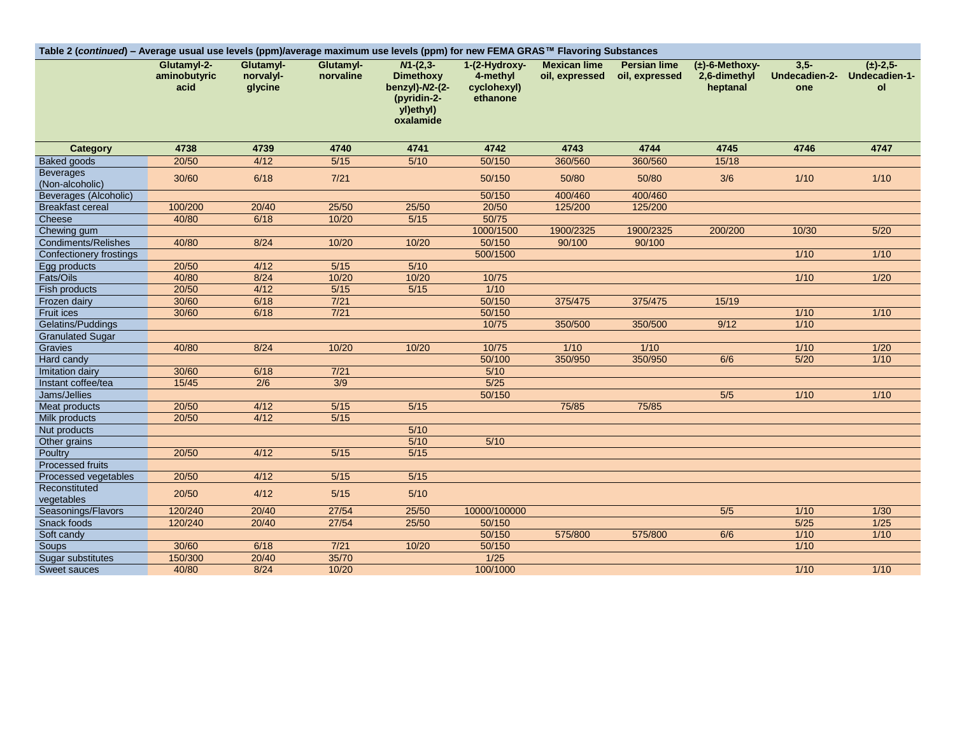| Table 2 (continued) - Average usual use levels (ppm)/average maximum use levels (ppm) for new FEMA GRAS™ Flavoring Substances |                                     |                                   |                        |                                                                                              |                                                      |                                       |                                       |                                                 |                                |                                      |
|-------------------------------------------------------------------------------------------------------------------------------|-------------------------------------|-----------------------------------|------------------------|----------------------------------------------------------------------------------------------|------------------------------------------------------|---------------------------------------|---------------------------------------|-------------------------------------------------|--------------------------------|--------------------------------------|
|                                                                                                                               | Glutamvl-2-<br>aminobutyric<br>acid | Glutamvl-<br>norvalyl-<br>glycine | Glutamyl-<br>norvaline | $M - (2, 3 -$<br><b>Dimethoxy</b><br>benzyl)-N2-(2-<br>(pyridin-2-<br>yl)ethyl)<br>oxalamide | 1-(2-Hydroxy-<br>4-methyl<br>cyclohexyl)<br>ethanone | <b>Mexican lime</b><br>oil, expressed | <b>Persian lime</b><br>oil, expressed | $(\pm)$ -6-Methoxy-<br>2,6-dimethyl<br>heptanal | $3,5-$<br>Undecadien-2-<br>one | $(\pm)$ -2.5-<br>Undecadien-1-<br>ol |
| Category                                                                                                                      | 4738                                | 4739                              | 4740                   | 4741                                                                                         | 4742                                                 | 4743                                  | 4744                                  | 4745                                            | 4746                           | 4747                                 |
| Baked goods                                                                                                                   | 20/50                               | 4/12                              | $5/15$                 | 5/10                                                                                         | 50/150                                               | 360/560                               | 360/560                               | 15/18                                           |                                |                                      |
| <b>Beverages</b><br>(Non-alcoholic)                                                                                           | 30/60                               | 6/18                              | $7/21$                 |                                                                                              | 50/150                                               | 50/80                                 | 50/80                                 | 3/6                                             | $1/10$                         | $1/10$                               |
| <b>Beverages (Alcoholic)</b>                                                                                                  |                                     |                                   |                        |                                                                                              | 50/150                                               | 400/460                               | 400/460                               |                                                 |                                |                                      |
| <b>Breakfast cereal</b>                                                                                                       | 100/200                             | 20/40                             | 25/50                  | 25/50                                                                                        | 20/50                                                | 125/200                               | 125/200                               |                                                 |                                |                                      |
| Cheese                                                                                                                        | 40/80                               | 6/18                              | 10/20                  | 5/15                                                                                         | 50/75                                                |                                       |                                       |                                                 |                                |                                      |
| Chewing gum                                                                                                                   |                                     |                                   |                        |                                                                                              | 1000/1500                                            | 1900/2325                             | 1900/2325                             | 200/200                                         | 10/30                          | 5/20                                 |
| Condiments/Relishes                                                                                                           | 40/80                               | 8/24                              | 10/20                  | 10/20                                                                                        | 50/150                                               | 90/100                                | 90/100                                |                                                 |                                |                                      |
| Confectionery frostings                                                                                                       |                                     |                                   |                        |                                                                                              | 500/1500                                             |                                       |                                       |                                                 | $1/10$                         | $1/10$                               |
| Egg products                                                                                                                  | 20/50                               | 4/12                              | $5/15$                 | $5/10$                                                                                       |                                                      |                                       |                                       |                                                 |                                |                                      |
| Fats/Oils                                                                                                                     | 40/80                               | 8/24                              | 10/20                  | 10/20                                                                                        | 10/75                                                |                                       |                                       |                                                 | 1/10                           | $1/20$                               |
| Fish products                                                                                                                 | 20/50                               | 4/12                              | $5/15$                 | $5/15$                                                                                       | 1/10                                                 |                                       |                                       |                                                 |                                |                                      |
| Frozen dairy                                                                                                                  | 30/60                               | 6/18                              | $7/21$                 |                                                                                              | 50/150                                               | 375/475                               | 375/475                               | 15/19                                           |                                |                                      |
| <b>Fruit ices</b>                                                                                                             | 30/60                               | 6/18                              | $7/21$                 |                                                                                              | 50/150                                               |                                       |                                       |                                                 | $1/10$                         | $1/10$                               |
| Gelatins/Puddings                                                                                                             |                                     |                                   |                        |                                                                                              | 10/75                                                | 350/500                               | 350/500                               | 9/12                                            | 1/10                           |                                      |
| <b>Granulated Sugar</b>                                                                                                       |                                     |                                   |                        |                                                                                              |                                                      |                                       |                                       |                                                 |                                |                                      |
| Gravies                                                                                                                       | 40/80                               | 8/24                              | 10/20                  | 10/20                                                                                        | 10/75                                                | $1/10$                                | 1/10                                  |                                                 | $1/10$                         | $1/20$                               |
| Hard candy                                                                                                                    |                                     |                                   |                        |                                                                                              | 50/100                                               | 350/950                               | 350/950                               | 6/6                                             | 5/20                           | 1/10                                 |
| Imitation dairy                                                                                                               | 30/60                               | 6/18                              | $7/21$                 |                                                                                              | 5/10                                                 |                                       |                                       |                                                 |                                |                                      |
| Instant coffee/tea                                                                                                            | 15/45                               | $\overline{2/6}$                  | 3/9                    |                                                                                              | 5/25                                                 |                                       |                                       |                                                 |                                |                                      |
| Jams/Jellies                                                                                                                  |                                     |                                   |                        |                                                                                              | 50/150                                               |                                       |                                       | $5/5$                                           | $1/10$                         | $1/10$                               |
| Meat products                                                                                                                 | 20/50                               | 4/12                              | $5/15$                 | $5/15$                                                                                       |                                                      | 75/85                                 | 75/85                                 |                                                 |                                |                                      |
| Milk products                                                                                                                 | 20/50                               | 4/12                              | $\frac{5}{15}$         |                                                                                              |                                                      |                                       |                                       |                                                 |                                |                                      |
| Nut products                                                                                                                  |                                     |                                   |                        | $5/10$                                                                                       |                                                      |                                       |                                       |                                                 |                                |                                      |
| Other grains                                                                                                                  |                                     |                                   |                        | $5/10$                                                                                       | $5/10$                                               |                                       |                                       |                                                 |                                |                                      |
| Poultry                                                                                                                       | 20/50                               | 4/12                              | $\frac{5}{15}$         | 5/15                                                                                         |                                                      |                                       |                                       |                                                 |                                |                                      |
| <b>Processed fruits</b>                                                                                                       |                                     |                                   |                        |                                                                                              |                                                      |                                       |                                       |                                                 |                                |                                      |
| Processed vegetables<br>Reconstituted                                                                                         | 20/50                               | 4/12                              | $5/15$                 | 5/15                                                                                         |                                                      |                                       |                                       |                                                 |                                |                                      |
| vegetables                                                                                                                    | 20/50                               | 4/12                              | $5/15$                 | $5/10$                                                                                       |                                                      |                                       |                                       |                                                 |                                |                                      |
| Seasonings/Flavors                                                                                                            | 120/240                             | 20/40                             | 27/54                  | 25/50                                                                                        | 10000/100000                                         |                                       |                                       | $5/5$                                           | 1/10                           | 1/30                                 |
| Snack foods                                                                                                                   | 120/240                             | 20/40                             | 27/54                  | 25/50                                                                                        | 50/150                                               |                                       |                                       |                                                 | $\frac{5}{25}$                 | $\frac{1}{25}$                       |
| Soft candy                                                                                                                    |                                     |                                   |                        |                                                                                              | 50/150                                               | 575/800                               | 575/800                               | 6/6                                             | $1/10$                         | $1/10$                               |
| Soups                                                                                                                         | 30/60                               | 6/18                              | $7/21$                 | 10/20                                                                                        | 50/150                                               |                                       |                                       |                                                 | $\frac{1}{10}$                 |                                      |
| Sugar substitutes                                                                                                             | 150/300                             | 20/40                             | 35/70                  |                                                                                              | 1/25                                                 |                                       |                                       |                                                 |                                |                                      |
| Sweet sauces                                                                                                                  | 40/80                               | 8/24                              | 10/20                  |                                                                                              | 100/1000                                             |                                       |                                       |                                                 | 1/10                           | $1/10$                               |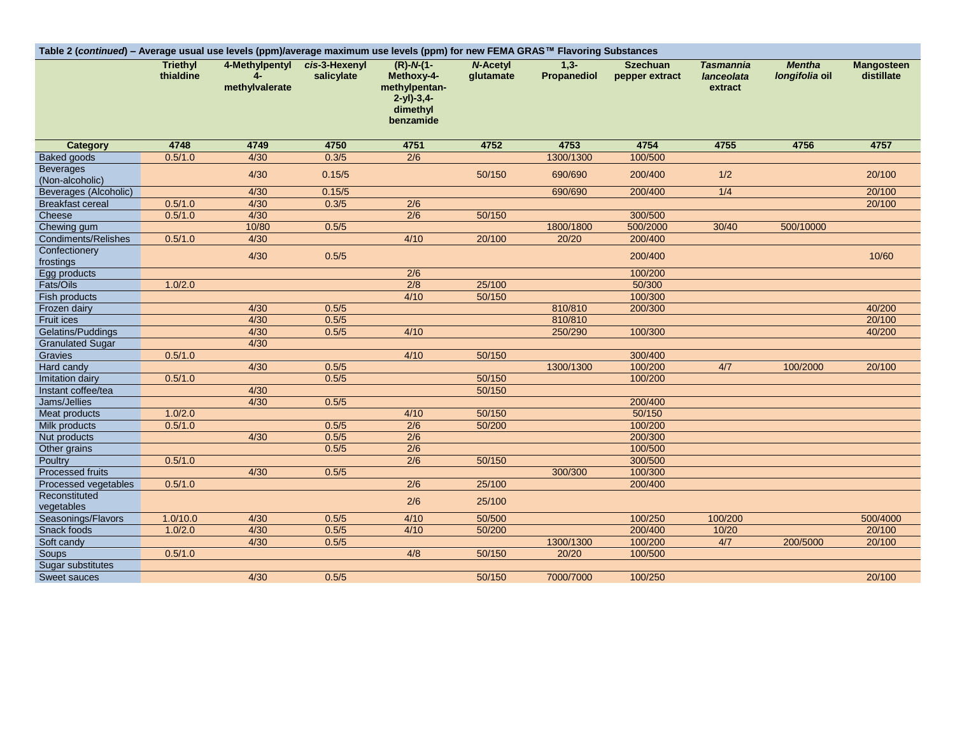| Table 2 (continued) - Average usual use levels (ppm)/average maximum use levels (ppm) for new FEMA GRAS™ Flavoring Substances |                              |                                  |                             |                                                                                     |                              |                        |                                   |                                           |                                 |                                 |
|-------------------------------------------------------------------------------------------------------------------------------|------------------------------|----------------------------------|-----------------------------|-------------------------------------------------------------------------------------|------------------------------|------------------------|-----------------------------------|-------------------------------------------|---------------------------------|---------------------------------|
|                                                                                                                               | <b>Triethyl</b><br>thialdine | 4-Methylpentyl<br>methylvalerate | cis-3-Hexenyl<br>salicylate | $(R)-N-(1-$<br>Methoxy-4-<br>methylpentan-<br>$2-y1)-3,4-$<br>dimethyl<br>benzamide | <b>N-Acetyl</b><br>glutamate | $1.3 -$<br>Propanediol | <b>Szechuan</b><br>pepper extract | <b>Tasmannia</b><br>lanceolata<br>extract | <b>Mentha</b><br>longifolia oil | <b>Mangosteen</b><br>distillate |
| <b>Category</b>                                                                                                               | 4748                         | 4749                             | 4750                        | 4751                                                                                | 4752                         | 4753                   | 4754                              | 4755                                      | 4756                            | 4757                            |
| Baked goods                                                                                                                   | 0.5/1.0                      | 4/30                             | 0.3/5                       | $\overline{2/6}$                                                                    |                              | 1300/1300              | 100/500                           |                                           |                                 |                                 |
| <b>Beverages</b><br>(Non-alcoholic)                                                                                           |                              | 4/30                             | 0.15/5                      |                                                                                     | 50/150                       | 690/690                | 200/400                           | 1/2                                       |                                 | 20/100                          |
| Beverages (Alcoholic)                                                                                                         |                              | 4/30                             | 0.15/5                      |                                                                                     |                              | 690/690                | 200/400                           | 1/4                                       |                                 | 20/100                          |
| <b>Breakfast cereal</b>                                                                                                       | 0.5/1.0                      | 4/30                             | 0.3/5                       | $\overline{2/6}$                                                                    |                              |                        |                                   |                                           |                                 | 20/100                          |
| Cheese                                                                                                                        | 0.5/1.0                      | 4/30                             |                             | $\overline{2/6}$                                                                    | 50/150                       |                        | 300/500                           |                                           |                                 |                                 |
| Chewing gum                                                                                                                   |                              | 10/80                            | 0.5/5                       |                                                                                     |                              | 1800/1800              | 500/2000                          | 30/40                                     | 500/10000                       |                                 |
| Condiments/Relishes                                                                                                           | 0.5/1.0                      | 4/30                             |                             | 4/10                                                                                | 20/100                       | 20/20                  | 200/400                           |                                           |                                 |                                 |
| Confectionery<br>frostings                                                                                                    |                              | 4/30                             | 0.5/5                       |                                                                                     |                              |                        | 200/400                           |                                           |                                 | 10/60                           |
| Egg products                                                                                                                  |                              |                                  |                             | 2/6                                                                                 |                              |                        | 100/200                           |                                           |                                 |                                 |
| Fats/Oils                                                                                                                     | 1.0/2.0                      |                                  |                             | 2/8                                                                                 | 25/100                       |                        | 50/300                            |                                           |                                 |                                 |
| Fish products                                                                                                                 |                              |                                  |                             | 4/10                                                                                | 50/150                       |                        | 100/300                           |                                           |                                 |                                 |
| Frozen dairy                                                                                                                  |                              | 4/30                             | 0.5/5                       |                                                                                     |                              | 810/810                | 200/300                           |                                           |                                 | 40/200                          |
| <b>Fruit ices</b>                                                                                                             |                              | 4/30                             | 0.5/5                       |                                                                                     |                              | 810/810                |                                   |                                           |                                 | 20/100                          |
| Gelatins/Puddings                                                                                                             |                              | 4/30                             | 0.5/5                       | 4/10                                                                                |                              | 250/290                | 100/300                           |                                           |                                 | 40/200                          |
| <b>Granulated Sugar</b>                                                                                                       |                              | 4/30                             |                             |                                                                                     |                              |                        |                                   |                                           |                                 |                                 |
| Gravies                                                                                                                       | 0.5/1.0                      |                                  |                             | 4/10                                                                                | 50/150                       |                        | 300/400                           |                                           |                                 |                                 |
| Hard candy                                                                                                                    |                              | 4/30                             | 0.5/5                       |                                                                                     |                              | 1300/1300              | 100/200                           | 4/7                                       | 100/2000                        | 20/100                          |
| Imitation dairy                                                                                                               | 0.5/1.0                      |                                  | 0.5/5                       |                                                                                     | 50/150                       |                        | 100/200                           |                                           |                                 |                                 |
| Instant coffee/tea                                                                                                            |                              | 4/30                             |                             |                                                                                     | 50/150                       |                        |                                   |                                           |                                 |                                 |
| Jams/Jellies                                                                                                                  |                              | 4/30                             | 0.5/5                       |                                                                                     |                              |                        | 200/400                           |                                           |                                 |                                 |
| <b>Meat products</b>                                                                                                          | 1.0/2.0                      |                                  |                             | 4/10                                                                                | 50/150                       |                        | 50/150                            |                                           |                                 |                                 |
| Milk products                                                                                                                 | 0.5/1.0                      |                                  | 0.5/5                       | $\overline{2/6}$                                                                    | 50/200                       |                        | 100/200                           |                                           |                                 |                                 |
| Nut products                                                                                                                  |                              | 4/30                             | 0.5/5                       | 2/6                                                                                 |                              |                        | 200/300                           |                                           |                                 |                                 |
| Other grains                                                                                                                  |                              |                                  | 0.5/5                       | 2/6                                                                                 |                              |                        | 100/500                           |                                           |                                 |                                 |
| Poultry                                                                                                                       | 0.5/1.0                      |                                  |                             | 2/6                                                                                 | 50/150                       |                        | 300/500                           |                                           |                                 |                                 |
| <b>Processed fruits</b>                                                                                                       |                              | 4/30                             | 0.5/5                       |                                                                                     |                              | 300/300                | 100/300                           |                                           |                                 |                                 |
| Processed vegetables                                                                                                          | 0.5/1.0                      |                                  |                             | $\overline{2/6}$                                                                    | 25/100                       |                        | 200/400                           |                                           |                                 |                                 |
| Reconstituted                                                                                                                 |                              |                                  |                             |                                                                                     |                              |                        |                                   |                                           |                                 |                                 |
| vegetables                                                                                                                    |                              |                                  |                             | 2/6                                                                                 | 25/100                       |                        |                                   |                                           |                                 |                                 |
| Seasonings/Flavors                                                                                                            | 1.0/10.0                     | 4/30                             | 0.5/5                       | 4/10                                                                                | 50/500                       |                        | 100/250                           | 100/200                                   |                                 | 500/4000                        |
| Snack foods                                                                                                                   | 1.0/2.0                      | 4/30                             | 0.5/5                       | 4/10                                                                                | 50/200                       |                        | 200/400                           | 10/20                                     |                                 | 20/100                          |
| Soft candy                                                                                                                    |                              | 4/30                             | 0.5/5                       |                                                                                     |                              | 1300/1300              | 100/200                           | 4/7                                       | 200/5000                        | 20/100                          |
| Soups                                                                                                                         | 0.5/1.0                      |                                  |                             | 4/8                                                                                 | 50/150                       | 20/20                  | 100/500                           |                                           |                                 |                                 |
| Sugar substitutes                                                                                                             |                              |                                  |                             |                                                                                     |                              |                        |                                   |                                           |                                 |                                 |
| <b>Sweet sauces</b>                                                                                                           |                              | 4/30                             | 0.5/5                       |                                                                                     | 50/150                       | 7000/7000              | 100/250                           |                                           |                                 | 20/100                          |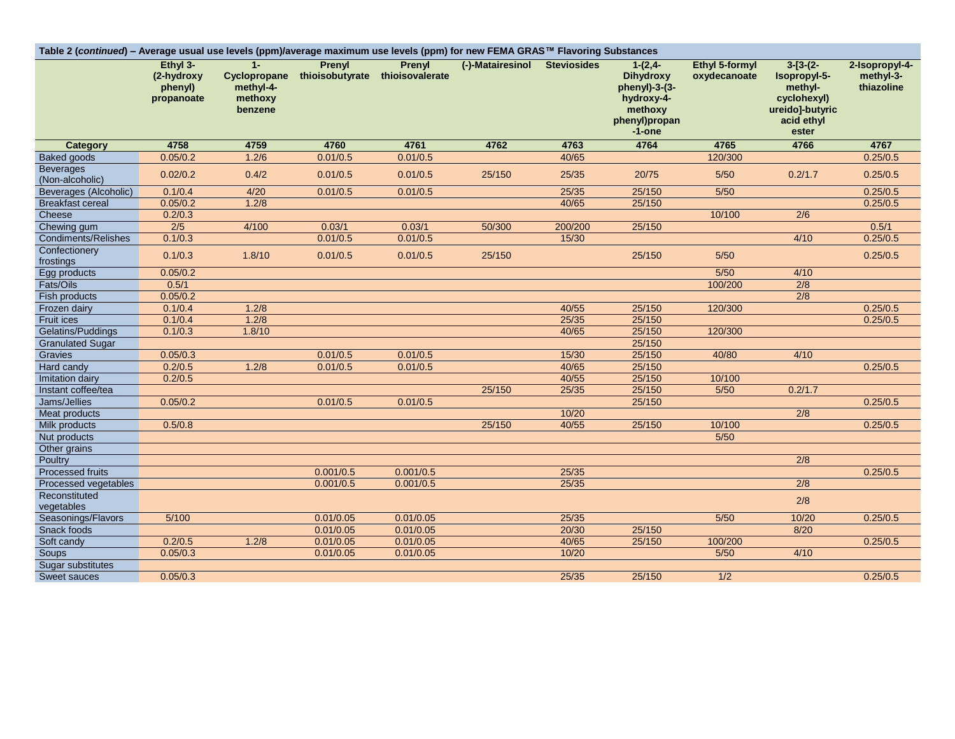| Table 2 (continued) – Average usual use levels (ppm)/average maximum use levels (ppm) for new FEMA GRAS™ Flavoring Substances | Ethyl 3-<br>(2-hydroxy<br>phenyl)<br>propanoate | $1 -$<br>Cyclopropane<br>methyl-4-<br>methoxy<br>benzene | Prenyl<br>thioisobutyrate thioisovalerate | Prenyl    | (-)-Matairesinol Steviosides |         | $1-(2,4-$<br><b>Dihydroxy</b><br>phenyl)-3-(3-<br>hydroxy-4-<br>methoxy<br>phenyl)propan<br>-1-one | Ethyl 5-formyl<br>oxydecanoate | $3-[3-(2-$<br>Isopropyl-5-<br>methyl-<br>cyclohexyl)<br>ureido]-butyric<br>acid ethyl<br>ester | 2-Isopropyl-4-<br>methyl-3-<br>thiazoline |
|-------------------------------------------------------------------------------------------------------------------------------|-------------------------------------------------|----------------------------------------------------------|-------------------------------------------|-----------|------------------------------|---------|----------------------------------------------------------------------------------------------------|--------------------------------|------------------------------------------------------------------------------------------------|-------------------------------------------|
| <b>Category</b>                                                                                                               | 4758                                            | 4759                                                     | 4760                                      | 4761      | 4762                         | 4763    | 4764                                                                                               | 4765                           | 4766                                                                                           | 4767                                      |
| <b>Baked goods</b>                                                                                                            | 0.05/0.2                                        | 1.2/6                                                    | 0.01/0.5                                  | 0.01/0.5  |                              | 40/65   |                                                                                                    | 120/300                        |                                                                                                | 0.25/0.5                                  |
| <b>Beverages</b><br>(Non-alcoholic)                                                                                           | 0.02/0.2                                        | 0.4/2                                                    | 0.01/0.5                                  | 0.01/0.5  | 25/150                       | 25/35   | 20/75                                                                                              | $5/50$                         | 0.2/1.7                                                                                        | 0.25/0.5                                  |
| Beverages (Alcoholic)                                                                                                         | 0.1/0.4                                         | 4/20                                                     | 0.01/0.5                                  | 0.01/0.5  |                              | 25/35   | 25/150                                                                                             | $5/50$                         |                                                                                                | 0.25/0.5                                  |
| <b>Breakfast cereal</b>                                                                                                       | 0.05/0.2                                        | 1.2/8                                                    |                                           |           |                              | 40/65   | 25/150                                                                                             |                                |                                                                                                | 0.25/0.5                                  |
| Cheese                                                                                                                        | 0.2/0.3                                         |                                                          |                                           |           |                              |         |                                                                                                    | 10/100                         | 2/6                                                                                            |                                           |
| Chewing gum                                                                                                                   | 2/5                                             | 4/100                                                    | 0.03/1                                    | 0.03/1    | 50/300                       | 200/200 | 25/150                                                                                             |                                |                                                                                                | 0.5/1                                     |
| <b>Condiments/Relishes</b>                                                                                                    | 0.1/0.3                                         |                                                          | 0.01/0.5                                  | 0.01/0.5  |                              | 15/30   |                                                                                                    |                                | 4/10                                                                                           | 0.25/0.5                                  |
| Confectionery<br>frostings                                                                                                    | 0.1/0.3                                         | 1.8/10                                                   | 0.01/0.5                                  | 0.01/0.5  | 25/150                       |         | 25/150                                                                                             | 5/50                           |                                                                                                | 0.25/0.5                                  |
| Egg products                                                                                                                  | 0.05/0.2                                        |                                                          |                                           |           |                              |         |                                                                                                    | $5/50$                         | 4/10                                                                                           |                                           |
| Fats/Oils                                                                                                                     | 0.5/1                                           |                                                          |                                           |           |                              |         |                                                                                                    | 100/200                        | 2/8                                                                                            |                                           |
| Fish products                                                                                                                 | 0.05/0.2                                        |                                                          |                                           |           |                              |         |                                                                                                    |                                | $\overline{2/8}$                                                                               |                                           |
| Frozen dairy                                                                                                                  | 0.1/0.4                                         | 1.2/8                                                    |                                           |           |                              | 40/55   | 25/150                                                                                             | 120/300                        |                                                                                                | 0.25/0.5                                  |
| Fruit ices                                                                                                                    | 0.1/0.4                                         | 1.2/8                                                    |                                           |           |                              | 25/35   | 25/150                                                                                             |                                |                                                                                                | 0.25/0.5                                  |
| Gelatins/Puddings                                                                                                             | 0.1/0.3                                         | 1.8/10                                                   |                                           |           |                              | 40/65   | 25/150                                                                                             | 120/300                        |                                                                                                |                                           |
| <b>Granulated Sugar</b>                                                                                                       |                                                 |                                                          |                                           |           |                              |         | 25/150                                                                                             |                                |                                                                                                |                                           |
| Gravies                                                                                                                       | 0.05/0.3                                        |                                                          | 0.01/0.5                                  | 0.01/0.5  |                              | 15/30   | 25/150                                                                                             | 40/80                          | 4/10                                                                                           |                                           |
| Hard candy                                                                                                                    | 0.2/0.5                                         | 1.2/8                                                    | 0.01/0.5                                  | 0.01/0.5  |                              | 40/65   | 25/150                                                                                             |                                |                                                                                                | 0.25/0.5                                  |
| Imitation dairy                                                                                                               | 0.2/0.5                                         |                                                          |                                           |           |                              | 40/55   | 25/150                                                                                             | 10/100                         |                                                                                                |                                           |
| Instant coffee/tea                                                                                                            |                                                 |                                                          |                                           |           | 25/150                       | 25/35   | 25/150                                                                                             | $\frac{5}{50}$                 | 0.2/1.7                                                                                        |                                           |
| Jams/Jellies                                                                                                                  | 0.05/0.2                                        |                                                          | 0.01/0.5                                  | 0.01/0.5  |                              |         | 25/150                                                                                             |                                |                                                                                                | 0.25/0.5                                  |
| Meat products                                                                                                                 |                                                 |                                                          |                                           |           |                              | 10/20   |                                                                                                    |                                | 2/8                                                                                            |                                           |
| Milk products                                                                                                                 | 0.5/0.8                                         |                                                          |                                           |           | 25/150                       | 40/55   | 25/150                                                                                             | 10/100                         |                                                                                                | 0.25/0.5                                  |
| Nut products                                                                                                                  |                                                 |                                                          |                                           |           |                              |         |                                                                                                    | 5/50                           |                                                                                                |                                           |
| Other grains                                                                                                                  |                                                 |                                                          |                                           |           |                              |         |                                                                                                    |                                |                                                                                                |                                           |
| Poultry                                                                                                                       |                                                 |                                                          |                                           |           |                              |         |                                                                                                    |                                | $\overline{2/8}$                                                                               |                                           |
| <b>Processed fruits</b>                                                                                                       |                                                 |                                                          | 0.001/0.5                                 | 0.001/0.5 |                              | 25/35   |                                                                                                    |                                |                                                                                                | 0.25/0.5                                  |
| Processed vegetables                                                                                                          |                                                 |                                                          | 0.001/0.5                                 | 0.001/0.5 |                              | 25/35   |                                                                                                    |                                | $\overline{2/8}$                                                                               |                                           |
| Reconstituted                                                                                                                 |                                                 |                                                          |                                           |           |                              |         |                                                                                                    |                                | 2/8                                                                                            |                                           |
| vegetables                                                                                                                    |                                                 |                                                          |                                           |           |                              |         |                                                                                                    |                                |                                                                                                |                                           |
| Seasonings/Flavors                                                                                                            | 5/100                                           |                                                          | 0.01/0.05                                 | 0.01/0.05 |                              | 25/35   |                                                                                                    | 5/50                           | 10/20                                                                                          | 0.25/0.5                                  |
| Snack foods                                                                                                                   |                                                 |                                                          | 0.01/0.05                                 | 0.01/0.05 |                              | 20/30   | 25/150                                                                                             |                                | 8/20                                                                                           |                                           |
| Soft candy                                                                                                                    | 0.2/0.5                                         | 1.2/8                                                    | 0.01/0.05                                 | 0.01/0.05 |                              | 40/65   | 25/150                                                                                             | 100/200                        |                                                                                                | 0.25/0.5                                  |
| Soups                                                                                                                         | 0.05/0.3                                        |                                                          | 0.01/0.05                                 | 0.01/0.05 |                              | 10/20   |                                                                                                    | 5/50                           | 4/10                                                                                           |                                           |
| Sugar substitutes                                                                                                             |                                                 |                                                          |                                           |           |                              |         |                                                                                                    |                                |                                                                                                |                                           |
| Sweet sauces                                                                                                                  | 0.05/0.3                                        |                                                          |                                           |           |                              | 25/35   | 25/150                                                                                             | 1/2                            |                                                                                                | 0.25/0.5                                  |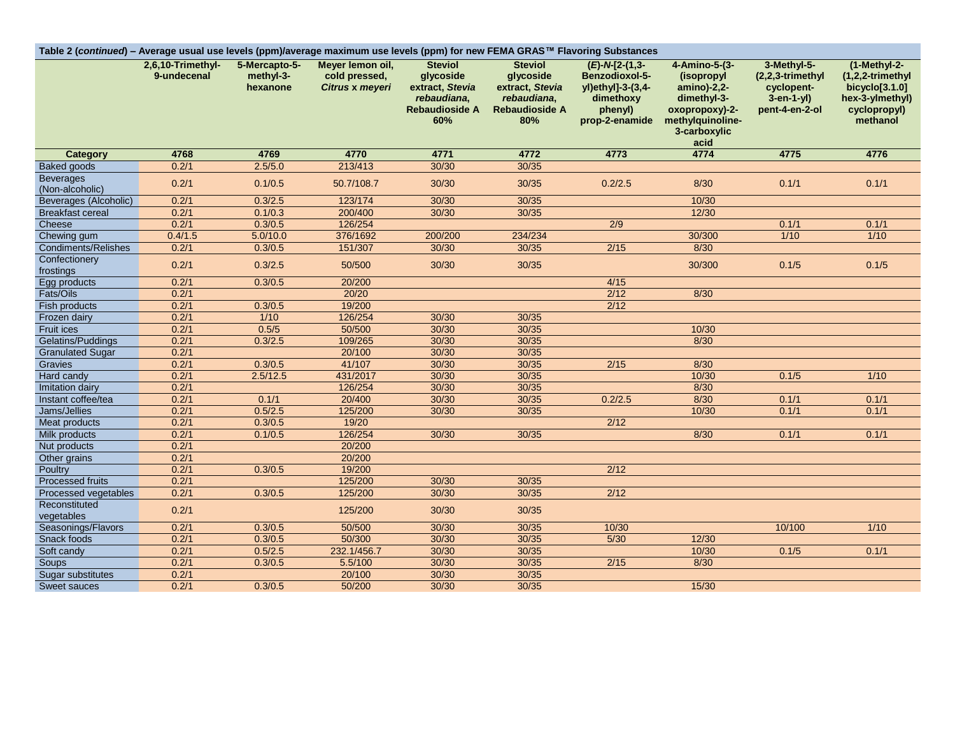| Table 2 (continued) - Average usual use levels (ppm)/average maximum use levels (ppm) for new FEMA GRAS™ Flavoring Substances | 2,6,10-Trimethyl- | 5-Mercapto-5-         | Meyer lemon oil,                 | <b>Steviol</b>                                                       | <b>Steviol</b>                                                       | $(E)$ -N-[2-(1,3-                                           | 4-Amino-5-(3-                                              | 3-Methyl-5-                                                        | (1-Methyl-2-                                                                |
|-------------------------------------------------------------------------------------------------------------------------------|-------------------|-----------------------|----------------------------------|----------------------------------------------------------------------|----------------------------------------------------------------------|-------------------------------------------------------------|------------------------------------------------------------|--------------------------------------------------------------------|-----------------------------------------------------------------------------|
|                                                                                                                               | 9-undecenal       | methyl-3-<br>hexanone | cold pressed.<br>Citrus x meyeri | glycoside<br>extract, Stevia<br>rebaudiana,<br><b>Rebaudioside A</b> | glycoside<br>extract, Stevia<br>rebaudiana,<br><b>Rebaudioside A</b> | Benzodioxol-5-<br>yl)ethyl]-3-(3,4-<br>dimethoxy<br>phenyl) | (isopropyl<br>amino)-2,2-<br>dimethyl-3-<br>oxopropoxy)-2- | $(2,2,3-trimethyl)$<br>cyclopent-<br>$3-en-1-yl$<br>pent-4-en-2-ol | $(1,2,2$ -trimethyl<br>bicyclo $[3.1.0]$<br>hex-3-ylmethyl)<br>cyclopropyl) |
|                                                                                                                               |                   |                       |                                  | 60%                                                                  | 80%                                                                  | prop-2-enamide                                              | methylquinoline-<br>3-carboxylic<br>acid                   |                                                                    | methanol                                                                    |
| <b>Category</b>                                                                                                               | 4768              | 4769                  | 4770                             | 4771                                                                 | 4772                                                                 | 4773                                                        | 4774                                                       | 4775                                                               | 4776                                                                        |
| <b>Baked goods</b>                                                                                                            | 0.2/1             | 2.5/5.0               | 213/413                          | 30/30                                                                | 30/35                                                                |                                                             |                                                            |                                                                    |                                                                             |
| <b>Beverages</b><br>(Non-alcoholic)                                                                                           | 0.2/1             | 0.1/0.5               | 50.7/108.7                       | 30/30                                                                | 30/35                                                                | 0.2/2.5                                                     | 8/30                                                       | 0.1/1                                                              | 0.1/1                                                                       |
| <b>Beverages (Alcoholic)</b>                                                                                                  | 0.2/1             | 0.3/2.5               | 123/174                          | 30/30                                                                | 30/35                                                                |                                                             | 10/30                                                      |                                                                    |                                                                             |
| <b>Breakfast cereal</b>                                                                                                       | 0.2/1             | 0.1/0.3               | 200/400                          | 30/30                                                                | 30/35                                                                |                                                             | 12/30                                                      |                                                                    |                                                                             |
| Cheese                                                                                                                        | 0.2/1             | 0.3/0.5               | 126/254                          |                                                                      |                                                                      | $\overline{2/9}$                                            |                                                            | 0.1/1                                                              | 0.1/1                                                                       |
| Chewing gum                                                                                                                   | 0.4/1.5           | 5.0/10.0              | 376/1692                         | 200/200                                                              | 234/234                                                              |                                                             | 30/300                                                     | $1/10$                                                             | $1/10$                                                                      |
| <b>Condiments/Relishes</b>                                                                                                    | 0.2/1             | 0.3/0.5               | 151/307                          | 30/30                                                                | 30/35                                                                | 2/15                                                        | 8/30                                                       |                                                                    |                                                                             |
| Confectionery<br>frostings                                                                                                    | 0.2/1             | 0.3/2.5               | 50/500                           | 30/30                                                                | 30/35                                                                |                                                             | 30/300                                                     | 0.1/5                                                              | 0.1/5                                                                       |
| Egg products                                                                                                                  | 0.2/1             | 0.3/0.5               | 20/200                           |                                                                      |                                                                      | 4/15                                                        |                                                            |                                                                    |                                                                             |
| Fats/Oils                                                                                                                     | 0.2/1             |                       | 20/20                            |                                                                      |                                                                      | 2/12                                                        | 8/30                                                       |                                                                    |                                                                             |
| Fish products                                                                                                                 | 0.2/1             | 0.3/0.5               | 19/200                           |                                                                      |                                                                      | 2/12                                                        |                                                            |                                                                    |                                                                             |
| Frozen dairy                                                                                                                  | 0.2/1             | 1/10                  | 126/254                          | 30/30                                                                | 30/35                                                                |                                                             |                                                            |                                                                    |                                                                             |
| Fruit ices                                                                                                                    | 0.2/1             | 0.5/5                 | 50/500                           | 30/30                                                                | 30/35                                                                |                                                             | 10/30                                                      |                                                                    |                                                                             |
| Gelatins/Puddings                                                                                                             | 0.2/1             | 0.3/2.5               | 109/265                          | 30/30                                                                | 30/35                                                                |                                                             | 8/30                                                       |                                                                    |                                                                             |
| <b>Granulated Sugar</b>                                                                                                       | 0.2/1             |                       | 20/100                           | 30/30                                                                | 30/35                                                                |                                                             |                                                            |                                                                    |                                                                             |
| Gravies                                                                                                                       | 0.2/1             | 0.3/0.5               | 41/107                           | 30/30                                                                | 30/35                                                                | 2/15                                                        | 8/30                                                       |                                                                    |                                                                             |
| Hard candy                                                                                                                    | 0.2/1             | 2.5/12.5              | 431/2017                         | 30/30                                                                | 30/35                                                                |                                                             | 10/30                                                      | 0.1/5                                                              | $1/10$                                                                      |
| Imitation dairy                                                                                                               | 0.2/1             |                       | 126/254                          | 30/30                                                                | 30/35                                                                |                                                             | 8/30                                                       |                                                                    |                                                                             |
| Instant coffee/tea                                                                                                            | 0.2/1             | 0.1/1                 | 20/400                           | 30/30                                                                | 30/35                                                                | 0.2/2.5                                                     | 8/30                                                       | 0.1/1                                                              | 0.1/1                                                                       |
| Jams/Jellies                                                                                                                  | 0.2/1             | 0.5/2.5               | 125/200                          | 30/30                                                                | 30/35                                                                |                                                             | 10/30                                                      | 0.1/1                                                              | 0.1/1                                                                       |
| Meat products                                                                                                                 | 0.2/1             | 0.3/0.5               | 19/20                            |                                                                      |                                                                      | 2/12                                                        |                                                            |                                                                    |                                                                             |
| Milk products                                                                                                                 | 0.2/1             | 0.1/0.5               | 126/254                          | 30/30                                                                | 30/35                                                                |                                                             | 8/30                                                       | 0.1/1                                                              | 0.1/1                                                                       |
| Nut products                                                                                                                  | 0.2/1             |                       | 20/200                           |                                                                      |                                                                      |                                                             |                                                            |                                                                    |                                                                             |
| Other grains                                                                                                                  | 0.2/1             |                       | 20/200                           |                                                                      |                                                                      |                                                             |                                                            |                                                                    |                                                                             |
| Poultry                                                                                                                       | 0.2/1             | 0.3/0.5               | 19/200                           |                                                                      |                                                                      | 2/12                                                        |                                                            |                                                                    |                                                                             |
| <b>Processed fruits</b>                                                                                                       | 0.2/1             |                       | 125/200                          | 30/30                                                                | 30/35                                                                |                                                             |                                                            |                                                                    |                                                                             |
| Processed vegetables                                                                                                          | 0.2/1             | 0.3/0.5               | 125/200                          | 30/30                                                                | 30/35                                                                | 2/12                                                        |                                                            |                                                                    |                                                                             |
| Reconstituted<br>vegetables                                                                                                   | 0.2/1             |                       | 125/200                          | 30/30                                                                | 30/35                                                                |                                                             |                                                            |                                                                    |                                                                             |
| Seasonings/Flavors                                                                                                            | 0.2/1             | 0.3/0.5               | 50/500                           | 30/30                                                                | 30/35                                                                | 10/30                                                       |                                                            | 10/100                                                             | $1/10$                                                                      |
| Snack foods                                                                                                                   | 0.2/1             | 0.3/0.5               | 50/300                           | 30/30                                                                | 30/35                                                                | $5/30$                                                      | 12/30                                                      |                                                                    |                                                                             |
| Soft candy                                                                                                                    | 0.2/1             | 0.5/2.5               | 232.1/456.7                      | 30/30                                                                | 30/35                                                                |                                                             | 10/30                                                      | 0.1/5                                                              | 0.1/1                                                                       |
| Soups                                                                                                                         | 0.2/1             | 0.3/0.5               | 5.5/100                          | 30/30                                                                | 30/35                                                                | 2/15                                                        | 8/30                                                       |                                                                    |                                                                             |
| Sugar substitutes                                                                                                             | 0.2/1             |                       | 20/100                           | 30/30                                                                | 30/35                                                                |                                                             |                                                            |                                                                    |                                                                             |
| Sweet sauces                                                                                                                  | 0.2/1             | 0.3/0.5               | 50/200                           | 30/30                                                                | 30/35                                                                |                                                             | 15/30                                                      |                                                                    |                                                                             |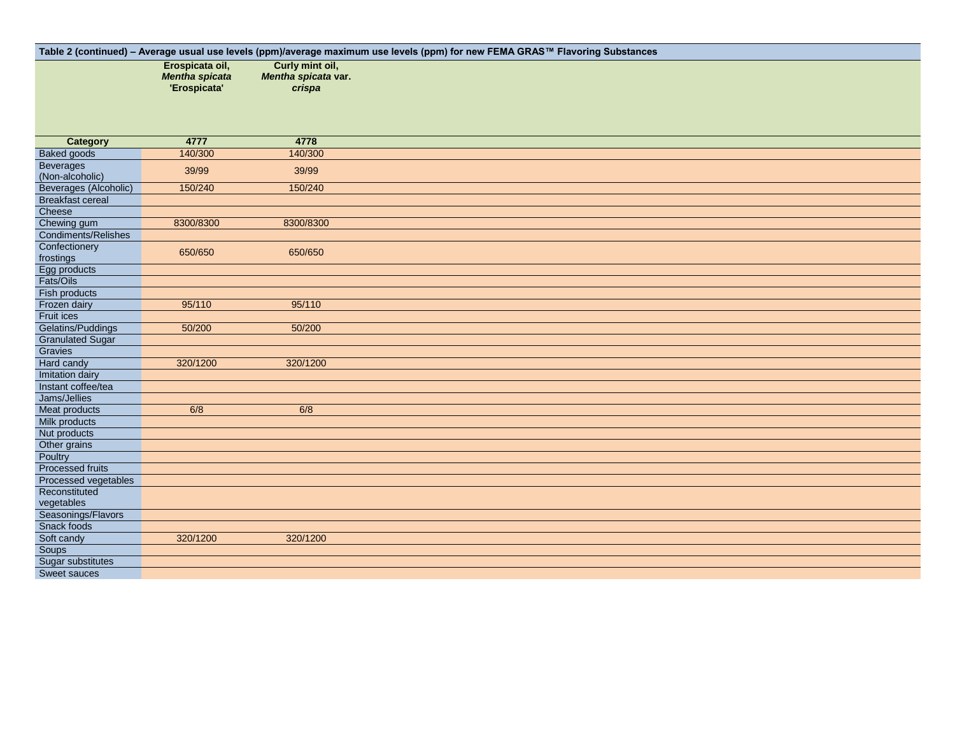|                                              |                                                          |                                                  | Table 2 (continued) - Average usual use levels (ppm)/average maximum use levels (ppm) for new FEMA GRAS™ Flavoring Substances |
|----------------------------------------------|----------------------------------------------------------|--------------------------------------------------|-------------------------------------------------------------------------------------------------------------------------------|
|                                              | Erospicata oil,<br><b>Mentha spicata</b><br>'Erospicata' | Curly mint oil,<br>Mentha spicata var.<br>crispa |                                                                                                                               |
|                                              |                                                          |                                                  |                                                                                                                               |
| <b>Category</b>                              | 4777                                                     | 4778                                             |                                                                                                                               |
| <b>Baked goods</b>                           | 140/300                                                  | 140/300                                          |                                                                                                                               |
| <b>Beverages</b><br>(Non-alcoholic)          | 39/99                                                    | 39/99                                            |                                                                                                                               |
| Beverages (Alcoholic)                        | 150/240                                                  | 150/240                                          |                                                                                                                               |
| <b>Breakfast cereal</b>                      |                                                          |                                                  |                                                                                                                               |
| Cheese                                       |                                                          |                                                  |                                                                                                                               |
| Chewing gum                                  | 8300/8300                                                | 8300/8300                                        |                                                                                                                               |
| Condiments/Relishes                          |                                                          |                                                  |                                                                                                                               |
| Confectionery                                | 650/650                                                  | 650/650                                          |                                                                                                                               |
| frostings                                    |                                                          |                                                  |                                                                                                                               |
| Egg products                                 |                                                          |                                                  |                                                                                                                               |
| Fats/Oils                                    |                                                          |                                                  |                                                                                                                               |
| Fish products                                |                                                          |                                                  |                                                                                                                               |
| Frozen dairy                                 | 95/110                                                   | 95/110                                           |                                                                                                                               |
| Fruit ices                                   | 50/200                                                   |                                                  |                                                                                                                               |
| Gelatins/Puddings<br><b>Granulated Sugar</b> |                                                          | 50/200                                           |                                                                                                                               |
| Gravies                                      |                                                          |                                                  |                                                                                                                               |
| Hard candy                                   | 320/1200                                                 | 320/1200                                         |                                                                                                                               |
| Imitation dairy                              |                                                          |                                                  |                                                                                                                               |
| Instant coffee/tea                           |                                                          |                                                  |                                                                                                                               |
| Jams/Jellies                                 |                                                          |                                                  |                                                                                                                               |
| Meat products                                | 6/8                                                      | 6/8                                              |                                                                                                                               |
| Milk products                                |                                                          |                                                  |                                                                                                                               |
| Nut products                                 |                                                          |                                                  |                                                                                                                               |
| Other grains                                 |                                                          |                                                  |                                                                                                                               |
| Poultry                                      |                                                          |                                                  |                                                                                                                               |
| <b>Processed fruits</b>                      |                                                          |                                                  |                                                                                                                               |
| Processed vegetables                         |                                                          |                                                  |                                                                                                                               |
| Reconstituted                                |                                                          |                                                  |                                                                                                                               |
| vegetables                                   |                                                          |                                                  |                                                                                                                               |
| Seasonings/Flavors                           |                                                          |                                                  |                                                                                                                               |
| Snack foods                                  |                                                          |                                                  |                                                                                                                               |
| Soft candy                                   | 320/1200                                                 | 320/1200                                         |                                                                                                                               |
| Soups                                        |                                                          |                                                  |                                                                                                                               |
| Sugar substitutes                            |                                                          |                                                  |                                                                                                                               |
| Sweet sauces                                 |                                                          |                                                  |                                                                                                                               |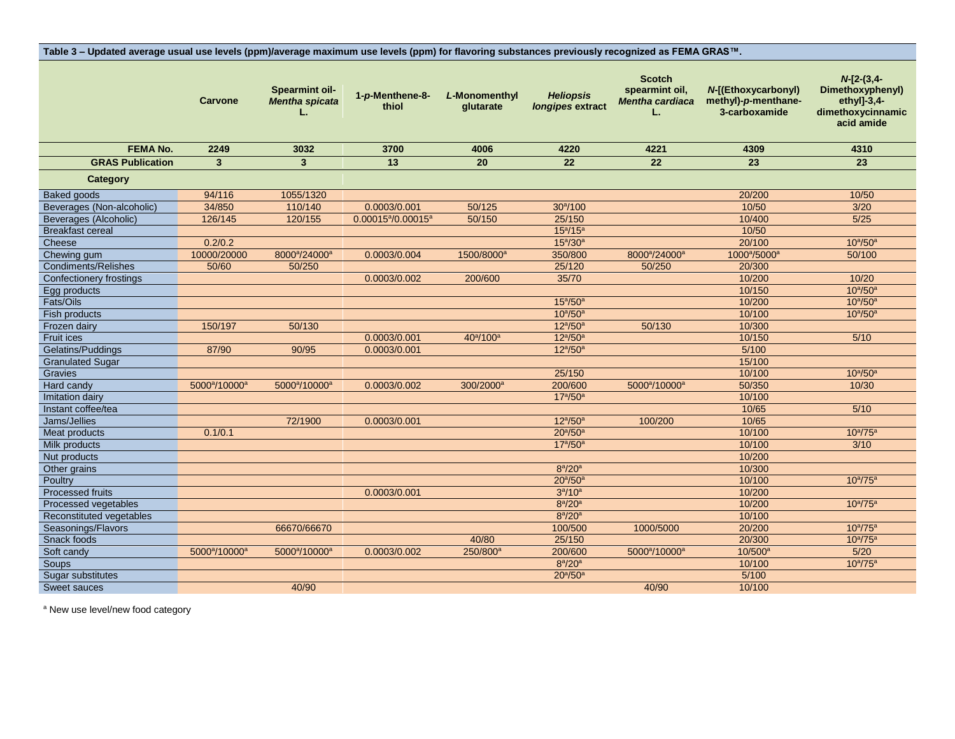| Table 3 - Updated average usual use levels (ppm)/average maximum use levels (ppm) for flavoring substances previously recognized as FEMA GRAS™. |                                       |                                                      |                                            |                                   |                                      |                                                          |                                                             |                                                                                    |
|-------------------------------------------------------------------------------------------------------------------------------------------------|---------------------------------------|------------------------------------------------------|--------------------------------------------|-----------------------------------|--------------------------------------|----------------------------------------------------------|-------------------------------------------------------------|------------------------------------------------------------------------------------|
|                                                                                                                                                 | <b>Carvone</b>                        | <b>Spearmint oil-</b><br><b>Mentha spicata</b><br>L. | 1-p-Menthene-8-<br>thiol                   | L-Monomenthyl<br>qlutarate        | <b>Heliopsis</b><br>longipes extract | <b>Scotch</b><br>spearmint oil,<br>Mentha cardiaca<br>L. | N-[(Ethoxycarbonyl)<br>methyl)-p-menthane-<br>3-carboxamide | $N-[2-(3,4-$<br>Dimethoxyphenyl)<br>ethyl]-3,4-<br>dimethoxycinnamic<br>acid amide |
| <b>FEMA No.</b>                                                                                                                                 | 2249                                  | 3032                                                 | 3700                                       | 4006                              | 4220                                 | 4221                                                     | 4309                                                        | 4310                                                                               |
| <b>GRAS Publication</b>                                                                                                                         | 3 <sup>1</sup>                        | $\overline{\mathbf{3}}$                              | 13                                         | 20                                | 22                                   | 22                                                       | 23                                                          | 23                                                                                 |
| Category                                                                                                                                        |                                       |                                                      |                                            |                                   |                                      |                                                          |                                                             |                                                                                    |
| <b>Baked goods</b>                                                                                                                              | 94/116                                | 1055/1320                                            |                                            |                                   |                                      |                                                          | 20/200                                                      | 10/50                                                                              |
| Beverages (Non-alcoholic)                                                                                                                       | 34/850                                | 110/140                                              | 0.0003/0.001                               | 50/125                            | 30 <sup>a</sup> /100                 |                                                          | 10/50                                                       | 3/20                                                                               |
|                                                                                                                                                 | 126/145                               |                                                      | 0.00015 <sup>a</sup> /0.00015 <sup>a</sup> | 50/150                            | 25/150                               |                                                          | 10/400                                                      | $5/25$                                                                             |
| Beverages (Alcoholic)<br><b>Breakfast cereal</b>                                                                                                |                                       | 120/155                                              |                                            |                                   | $15^{\rm a}/15^{\rm a}$              |                                                          | 10/50                                                       |                                                                                    |
| Cheese                                                                                                                                          | 0.2/0.2                               |                                                      |                                            |                                   | $15^{a}/30^{a}$                      |                                                          | 20/100                                                      | $10^{\circ}/50^{\circ}$                                                            |
| Chewing gum                                                                                                                                     | 10000/20000                           | 8000 <sup>a</sup> /24000 <sup>a</sup>                | 0.0003/0.004                               | 1500/8000 <sup>a</sup>            | 350/800                              | 8000 <sup>a</sup> /24000 <sup>a</sup>                    | 1000 <sup>a</sup> /5000 <sup>a</sup>                        | 50/100                                                                             |
| <b>Condiments/Relishes</b>                                                                                                                      | 50/60                                 | 50/250                                               |                                            |                                   | 25/120                               | 50/250                                                   | 20/300                                                      |                                                                                    |
| <b>Confectionery frostings</b>                                                                                                                  |                                       |                                                      | 0.0003/0.002                               | 200/600                           | 35/70                                |                                                          | 10/200                                                      | 10/20                                                                              |
| Egg products                                                                                                                                    |                                       |                                                      |                                            |                                   |                                      |                                                          | 10/150                                                      | $10^{a}/50^{a}$                                                                    |
| Fats/Oils                                                                                                                                       |                                       |                                                      |                                            |                                   | $15^{\circ}/50^{\circ}$              |                                                          | 10/200                                                      | $10^{\circ}/50^{\circ}$                                                            |
| Fish products                                                                                                                                   |                                       |                                                      |                                            |                                   | $10^{\rm a}/50^{\rm a}$              |                                                          | 10/100                                                      | $10^{a}/50^{a}$                                                                    |
| Frozen dairy                                                                                                                                    | 150/197                               | 50/130                                               |                                            |                                   | $12^{a}/50^{a}$                      | 50/130                                                   | 10/300                                                      |                                                                                    |
| Fruit ices                                                                                                                                      |                                       |                                                      | 0.0003/0.001                               | 40 <sup>a</sup> /100 <sup>a</sup> | $12^{a}/50^{a}$                      |                                                          | 10/150                                                      | 5/10                                                                               |
| Gelatins/Puddings                                                                                                                               | 87/90                                 | 90/95                                                | 0.0003/0.001                               |                                   | $12^{a}/50^{a}$                      |                                                          | 5/100                                                       |                                                                                    |
| <b>Granulated Sugar</b>                                                                                                                         |                                       |                                                      |                                            |                                   |                                      |                                                          | 15/100                                                      |                                                                                    |
| Gravies                                                                                                                                         |                                       |                                                      |                                            |                                   | 25/150                               |                                                          | 10/100                                                      | $10^{\circ}/50^{\circ}$                                                            |
| Hard candy                                                                                                                                      | 5000 <sup>a</sup> /10000 <sup>a</sup> | 5000 <sup>a</sup> /10000 <sup>a</sup>                | 0.0003/0.002                               | 300/2000 <sup>a</sup>             | 200/600                              | 5000 <sup>a</sup> /10000 <sup>a</sup>                    | 50/350                                                      | 10/30                                                                              |
| Imitation dairy                                                                                                                                 |                                       |                                                      |                                            |                                   | $17^{a}/50^{a}$                      |                                                          | 10/100                                                      |                                                                                    |
| Instant coffee/tea                                                                                                                              |                                       |                                                      |                                            |                                   |                                      |                                                          | 10/65                                                       | $5/10$                                                                             |
| Jams/Jellies                                                                                                                                    |                                       | 72/1900                                              | 0.0003/0.001                               |                                   | $12^{a}/50^{a}$                      | 100/200                                                  | 10/65                                                       |                                                                                    |
| Meat products                                                                                                                                   | 0.1/0.1                               |                                                      |                                            |                                   | $20^{\circ}/50^{\circ}$              |                                                          | 10/100                                                      | $10^{a}/75^{a}$                                                                    |
| Milk products                                                                                                                                   |                                       |                                                      |                                            |                                   | $17^{a}/50^{a}$                      |                                                          | 10/100                                                      | 3/10                                                                               |
| Nut products                                                                                                                                    |                                       |                                                      |                                            |                                   |                                      |                                                          | 10/200                                                      |                                                                                    |
| Other grains                                                                                                                                    |                                       |                                                      |                                            |                                   | $8^a/20^a$                           |                                                          | 10/300                                                      |                                                                                    |
| Poultry                                                                                                                                         |                                       |                                                      |                                            |                                   | $20^{\rm a}/50^{\rm a}$              |                                                          | 10/100                                                      | $10^{a}/75^{a}$                                                                    |
| Processed fruits                                                                                                                                |                                       |                                                      | 0.0003/0.001                               |                                   | $3^a/10^a$                           |                                                          | 10/200                                                      |                                                                                    |
| Processed vegetables                                                                                                                            |                                       |                                                      |                                            |                                   | $8^a/20^a$                           |                                                          | 10/200                                                      | $10^{a}/75^{a}$                                                                    |
| Reconstituted vegetables                                                                                                                        |                                       |                                                      |                                            |                                   | $8^a/20^a$                           |                                                          | 10/100                                                      |                                                                                    |
| Seasonings/Flavors                                                                                                                              |                                       | 66670/66670                                          |                                            |                                   | 100/500                              | 1000/5000                                                | 20/200                                                      | $10^{a}/75^{a}$                                                                    |
| Snack foods                                                                                                                                     |                                       |                                                      |                                            | 40/80                             | 25/150                               |                                                          | 20/300                                                      | $10^{a}/75^{a}$                                                                    |
| Soft candy                                                                                                                                      | 5000 <sup>a</sup> /10000 <sup>a</sup> | 5000 <sup>a</sup> /10000 <sup>a</sup>                | 0.0003/0.002                               | 250/800 <sup>a</sup>              | 200/600                              | 5000 <sup>a</sup> /10000 <sup>a</sup>                    | $10/500^a$                                                  | 5/20                                                                               |
| Soups                                                                                                                                           |                                       |                                                      |                                            |                                   | $8^a/20^a$                           |                                                          | 10/100                                                      | $10^{a}/75^{a}$                                                                    |
| Sugar substitutes                                                                                                                               |                                       |                                                      |                                            |                                   | $20^{\rm a}/50^{\rm a}$              |                                                          | 5/100                                                       |                                                                                    |
| Sweet sauces                                                                                                                                    |                                       | 40/90                                                |                                            |                                   |                                      | 40/90                                                    | 10/100                                                      |                                                                                    |

<sup>a</sup> New use level/new food category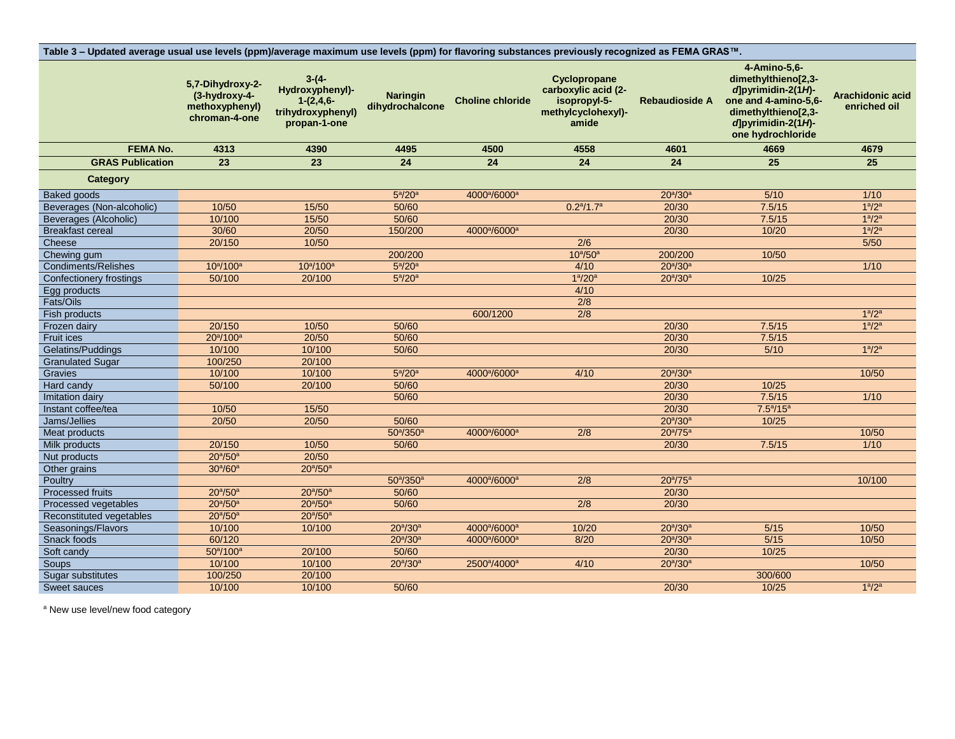| Table 3 - Updated average usual use levels (ppm)/average maximum use levels (ppm) for flavoring substances previously recognized as FEMA GRAS™. |                                                                      |                                                                                |                                    |                                      |                                                                                    |                         |                                                                                                                                                                      |                                  |
|-------------------------------------------------------------------------------------------------------------------------------------------------|----------------------------------------------------------------------|--------------------------------------------------------------------------------|------------------------------------|--------------------------------------|------------------------------------------------------------------------------------|-------------------------|----------------------------------------------------------------------------------------------------------------------------------------------------------------------|----------------------------------|
|                                                                                                                                                 | 5,7-Dihydroxy-2-<br>(3-hydroxy-4-<br>methoxyphenyl)<br>chroman-4-one | $3-(4-$<br>Hydroxyphenyl)-<br>$1-(2,4,6-$<br>trihydroxyphenyl)<br>propan-1-one | <b>Naringin</b><br>dihydrochalcone | <b>Choline chloride</b>              | Cyclopropane<br>carboxylic acid (2-<br>isopropyl-5-<br>methylcyclohexyl)-<br>amide | <b>Rebaudioside A</b>   | 4-Amino-5,6-<br>dimethylthieno[2,3-<br>$d$ <sub>pyrimidin-2(1H)</sub> -<br>one and 4-amino-5,6-<br>dimethylthieno[2,3-<br>$d$ ]pyrimidin-2(1H)-<br>one hydrochloride | Arachidonic acid<br>enriched oil |
| <b>FEMA No.</b>                                                                                                                                 | 4313                                                                 | 4390                                                                           | 4495                               | 4500                                 | 4558                                                                               | 4601                    | 4669                                                                                                                                                                 | 4679                             |
| <b>GRAS Publication</b>                                                                                                                         | 23                                                                   | 23                                                                             | $\overline{24}$                    | 24                                   | $\overline{24}$                                                                    | 24                      | 25                                                                                                                                                                   | $\overline{25}$                  |
| Category                                                                                                                                        |                                                                      |                                                                                |                                    |                                      |                                                                                    |                         |                                                                                                                                                                      |                                  |
| <b>Baked goods</b>                                                                                                                              |                                                                      |                                                                                | $5^{\text{a}}$ /20 $^{\text{a}}$   | 4000 <sup>a</sup> /6000 <sup>a</sup> |                                                                                    | $20^{a}/30^{a}$         | 5/10                                                                                                                                                                 | 1/10                             |
| Beverages (Non-alcoholic)                                                                                                                       | 10/50                                                                | 15/50                                                                          | 50/60                              |                                      | $0.2^{\frac{a}{2}}/1.7^{\frac{a}{2}}$                                              | 20/30                   | 7.5/15                                                                                                                                                               | 1 <sup>a</sup> /2 <sup>a</sup>   |
| Beverages (Alcoholic)                                                                                                                           | 10/100                                                               | 15/50                                                                          | 50/60                              |                                      |                                                                                    | 20/30                   | 7.5/15                                                                                                                                                               | 1 <sup>a</sup> /2 <sup>a</sup>   |
| <b>Breakfast cereal</b>                                                                                                                         | 30/60                                                                | 20/50                                                                          | 150/200                            | 4000 <sup>a</sup> /6000 <sup>a</sup> |                                                                                    | 20/30                   | 10/20                                                                                                                                                                | 1 <sup>a</sup> /2 <sup>a</sup>   |
| Cheese                                                                                                                                          | 20/150                                                               | 10/50                                                                          |                                    |                                      | 2/6                                                                                |                         |                                                                                                                                                                      | $5/50$                           |
| Chewing gum                                                                                                                                     |                                                                      |                                                                                | 200/200                            |                                      | $10^{\circ}/50^{\circ}$                                                            | 200/200                 | 10/50                                                                                                                                                                |                                  |
| <b>Condiments/Relishes</b>                                                                                                                      | $10^a/100^a$                                                         | $10^a/100^a$                                                                   | $5^{\text{a}}$ /20 $^{\text{a}}$   |                                      | 4/10                                                                               | $20^{\rm a}/30^{\rm a}$ |                                                                                                                                                                      | 1/10                             |
| Confectionery frostings                                                                                                                         | 50/100                                                               | 20/100                                                                         | $5^a/20^a$                         |                                      | $1^{\rm a}/20^{\rm a}$                                                             | $20^{\rm a}/30^{\rm a}$ | 10/25                                                                                                                                                                |                                  |
| Egg products                                                                                                                                    |                                                                      |                                                                                |                                    |                                      | 4/10                                                                               |                         |                                                                                                                                                                      |                                  |
| Fats/Oils                                                                                                                                       |                                                                      |                                                                                |                                    |                                      | $\overline{2/8}$                                                                   |                         |                                                                                                                                                                      |                                  |
| Fish products                                                                                                                                   |                                                                      |                                                                                |                                    | 600/1200                             | 2/8                                                                                |                         |                                                                                                                                                                      | 1 <sup>a</sup> /2 <sup>a</sup>   |
| Frozen dairy                                                                                                                                    | 20/150                                                               | 10/50                                                                          | 50/60                              |                                      |                                                                                    | 20/30                   | 7.5/15                                                                                                                                                               | 1 <sup>a</sup> /2 <sup>a</sup>   |
| Fruit ices                                                                                                                                      | 20 <sup>a</sup> /100 <sup>a</sup>                                    | 20/50                                                                          | 50/60                              |                                      |                                                                                    | 20/30                   | 7.5/15                                                                                                                                                               |                                  |
| Gelatins/Puddings                                                                                                                               | 10/100                                                               | 10/100                                                                         | 50/60                              |                                      |                                                                                    | 20/30                   | $5/10$                                                                                                                                                               | 1 <sup>a</sup> /2 <sup>a</sup>   |
| <b>Granulated Sugar</b>                                                                                                                         | 100/250                                                              | 20/100                                                                         |                                    |                                      |                                                                                    |                         |                                                                                                                                                                      |                                  |
| Gravies                                                                                                                                         | 10/100                                                               | 10/100                                                                         | $5^{\circ}/20^{\circ}$             | 4000 <sup>a</sup> /6000 <sup>a</sup> | 4/10                                                                               | $20^{\rm a}/30^{\rm a}$ |                                                                                                                                                                      | 10/50                            |
| Hard candy                                                                                                                                      | 50/100                                                               | 20/100                                                                         | 50/60                              |                                      |                                                                                    | 20/30                   | 10/25                                                                                                                                                                |                                  |
| Imitation dairy                                                                                                                                 |                                                                      |                                                                                | 50/60                              |                                      |                                                                                    | 20/30                   | 7.5/15                                                                                                                                                               | $\frac{1}{10}$                   |
| Instant coffee/tea                                                                                                                              | 10/50                                                                | 15/50                                                                          |                                    |                                      |                                                                                    | 20/30                   | $7.5^{\circ}/15^{\circ}$                                                                                                                                             |                                  |
| Jams/Jellies                                                                                                                                    | 20/50                                                                | 20/50                                                                          | 50/60                              |                                      |                                                                                    | $20^{a}/30^{a}$         | 10/25                                                                                                                                                                |                                  |
| Meat products                                                                                                                                   |                                                                      |                                                                                | $50^{a}/350^{a}$                   | 4000 <sup>a</sup> /6000 <sup>a</sup> | $\overline{2/8}$                                                                   | $20^{a}/75^{a}$         |                                                                                                                                                                      | 10/50                            |
| Milk products                                                                                                                                   | 20/150                                                               | 10/50                                                                          | 50/60                              |                                      |                                                                                    | 20/30                   | 7.5/15                                                                                                                                                               | 1/10                             |
| Nut products                                                                                                                                    | $20^{a}/50^{a}$                                                      | 20/50                                                                          |                                    |                                      |                                                                                    |                         |                                                                                                                                                                      |                                  |
| Other grains                                                                                                                                    | 30 <sup>a</sup> /60 <sup>a</sup>                                     | $20^{a}/50^{a}$                                                                |                                    |                                      |                                                                                    |                         |                                                                                                                                                                      |                                  |
| Poultry                                                                                                                                         |                                                                      |                                                                                | $50^{a}/350^{a}$                   | 4000 <sup>a</sup> /6000 <sup>a</sup> | $\overline{2/8}$                                                                   | $20^a / 75^a$           |                                                                                                                                                                      | 10/100                           |
| Processed fruits                                                                                                                                | $20^{\rm a}/50^{\rm a}$                                              | $20^{\rm a}/50^{\rm a}$                                                        | 50/60                              |                                      |                                                                                    | 20/30                   |                                                                                                                                                                      |                                  |
| Processed vegetables                                                                                                                            | $20^{\circ}/50^{\circ}$                                              | $20^{a}/50^{a}$                                                                | 50/60                              |                                      | $\overline{2/8}$                                                                   | 20/30                   |                                                                                                                                                                      |                                  |
| Reconstituted vegetables                                                                                                                        | $20^{a}/50^{a}$                                                      | $20^{a}/50^{a}$                                                                |                                    |                                      |                                                                                    |                         |                                                                                                                                                                      |                                  |
| Seasonings/Flavors                                                                                                                              | 10/100                                                               | 10/100                                                                         | $20^{a}/30^{a}$                    | 4000 <sup>a</sup> /6000 <sup>a</sup> | 10/20                                                                              | $20^{\rm a}/30^{\rm a}$ | $5/15$                                                                                                                                                               | 10/50                            |
| Snack foods                                                                                                                                     | 60/120                                                               |                                                                                | $20^{a}/30^{a}$                    | 4000 <sup>a</sup> /6000 <sup>a</sup> | 8/20                                                                               | $20^{a}/30^{a}$         | 5/15                                                                                                                                                                 | 10/50                            |
| Soft candy                                                                                                                                      | $50^{\circ}/100^{\circ}$                                             | 20/100                                                                         | 50/60                              |                                      |                                                                                    | 20/30                   | 10/25                                                                                                                                                                |                                  |
| Soups                                                                                                                                           | 10/100                                                               | 10/100                                                                         | $20^{a}/30^{a}$                    | 2500 <sup>a</sup> /4000 <sup>a</sup> | 4/10                                                                               | $20^{\rm a}/30^{\rm a}$ |                                                                                                                                                                      | 10/50                            |
| Sugar substitutes                                                                                                                               | 100/250                                                              | 20/100                                                                         |                                    |                                      |                                                                                    |                         | 300/600                                                                                                                                                              |                                  |
| <b>Sweet sauces</b>                                                                                                                             | 10/100                                                               | 10/100                                                                         | 50/60                              |                                      |                                                                                    | 20/30                   | 10/25                                                                                                                                                                | 1 <sup>a</sup> /2 <sup>a</sup>   |

<sup>a</sup> New use level/new food category